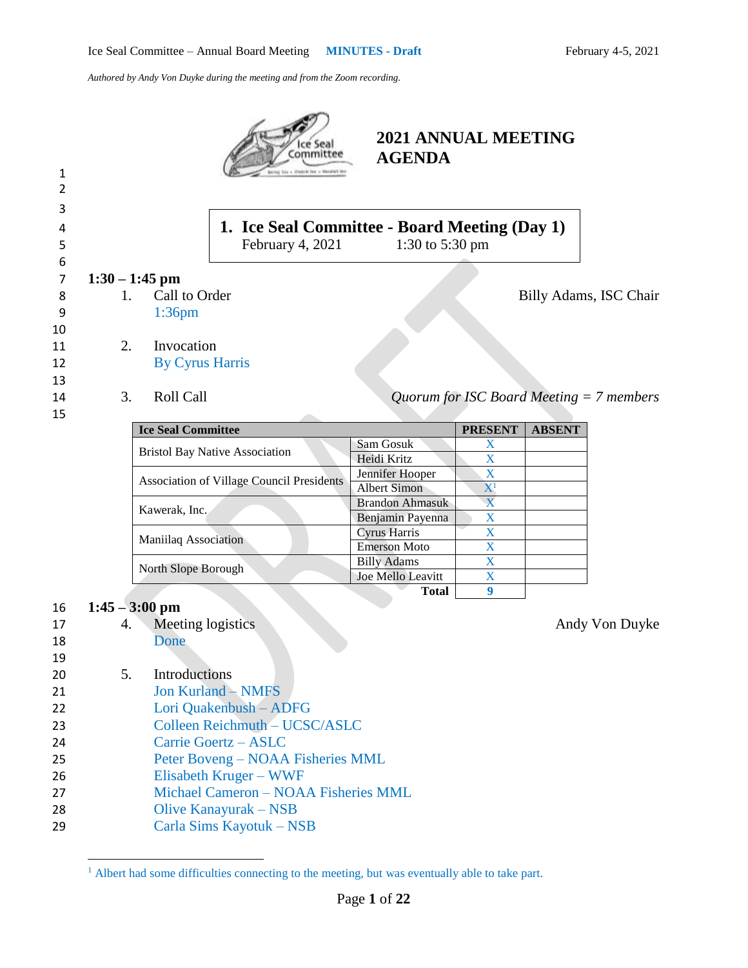| 1<br>2<br>3<br>4<br>5         |          |                                                   | Ice Sea<br>committee<br>los y Diskilcher y Mendant by<br>1. Ice Seal Committee - Board Meeting (Day 1)<br>February 4, 2021 | <b>2021 ANNUAL MEETING</b><br><b>AGENDA</b><br>1:30 to 5:30 pm |                         |               |                                            |
|-------------------------------|----------|---------------------------------------------------|----------------------------------------------------------------------------------------------------------------------------|----------------------------------------------------------------|-------------------------|---------------|--------------------------------------------|
| 6<br>$\overline{7}$<br>8<br>9 | 1.       | $1:30 - 1:45$ pm<br>Call to Order<br>$1:36$ pm    |                                                                                                                            |                                                                |                         |               | Billy Adams, ISC Chair                     |
| 10<br>11<br>12<br>13<br>14    | 2.<br>3. | Invocation<br><b>By Cyrus Harris</b><br>Roll Call |                                                                                                                            |                                                                |                         |               | Quorum for ISC Board Meeting $= 7$ members |
| 15                            |          |                                                   |                                                                                                                            |                                                                |                         |               |                                            |
|                               |          | <b>Ice Seal Committee</b>                         |                                                                                                                            |                                                                | <b>PRESENT</b>          | <b>ABSENT</b> |                                            |
|                               |          |                                                   | <b>Bristol Bay Native Association</b>                                                                                      | Sam Gosuk<br>Heidi Kritz                                       | X<br>X                  |               |                                            |
|                               |          |                                                   |                                                                                                                            | Jennifer Hooper                                                | $\mathbf X$             |               |                                            |
|                               |          |                                                   | <b>Association of Village Council Presidents</b>                                                                           | <b>Albert Simon</b>                                            | ${\bf X}^1$             |               |                                            |
|                               |          |                                                   |                                                                                                                            | <b>Brandon Ahmasuk</b>                                         | $\overline{\mathbf{X}}$ |               |                                            |
|                               |          | Kawerak, Inc.                                     |                                                                                                                            |                                                                | X                       |               |                                            |
|                               |          |                                                   |                                                                                                                            | Benjamin Payenna<br>Cyrus Harris                               | X                       |               |                                            |
|                               |          | Maniilaq Association                              |                                                                                                                            | <b>Emerson Moto</b>                                            | X                       |               |                                            |
|                               |          |                                                   |                                                                                                                            | <b>Billy Adams</b>                                             | X                       |               |                                            |
|                               |          | North Slope Borough                               |                                                                                                                            | Joe Mello Leavitt                                              | X                       |               |                                            |
|                               |          |                                                   |                                                                                                                            | <b>Total</b>                                                   | 9                       |               |                                            |
|                               |          | $1:45 - 3:00$ pm                                  |                                                                                                                            |                                                                |                         |               |                                            |
| 16                            |          |                                                   |                                                                                                                            |                                                                |                         |               |                                            |
| 17                            | 4.       | Meeting logistics                                 |                                                                                                                            |                                                                |                         |               | Andy Von Duyke                             |
| 18                            |          | Done                                              |                                                                                                                            |                                                                |                         |               |                                            |
| 19                            |          |                                                   |                                                                                                                            |                                                                |                         |               |                                            |
| 20                            | 5.       | Introductions                                     |                                                                                                                            |                                                                |                         |               |                                            |
| 21                            |          |                                                   | <b>Jon Kurland - NMFS</b>                                                                                                  |                                                                |                         |               |                                            |
| 22                            |          |                                                   | Lori Quakenbush - ADFG                                                                                                     |                                                                |                         |               |                                            |
| 23                            |          |                                                   | Colleen Reichmuth - UCSC/ASLC                                                                                              |                                                                |                         |               |                                            |
| 24                            |          |                                                   | Carrie Goertz - ASLC                                                                                                       |                                                                |                         |               |                                            |
|                               |          |                                                   | Peter Boveng – NOAA Fisheries MML                                                                                          |                                                                |                         |               |                                            |
| 25                            |          |                                                   |                                                                                                                            |                                                                |                         |               |                                            |
| 26                            |          |                                                   | Elisabeth Kruger – WWF                                                                                                     |                                                                |                         |               |                                            |
| 27                            |          |                                                   | Michael Cameron - NOAA Fisheries MML                                                                                       |                                                                |                         |               |                                            |
| 28                            |          |                                                   | Olive Kanayurak – NSB                                                                                                      |                                                                |                         |               |                                            |
| 29                            |          |                                                   | Carla Sims Kayotuk – NSB                                                                                                   |                                                                |                         |               |                                            |
|                               |          |                                                   |                                                                                                                            |                                                                |                         |               |                                            |

 $<sup>1</sup>$  Albert had some difficulties connecting to the meeting, but was eventually able to take part.</sup>

 $\overline{\phantom{a}}$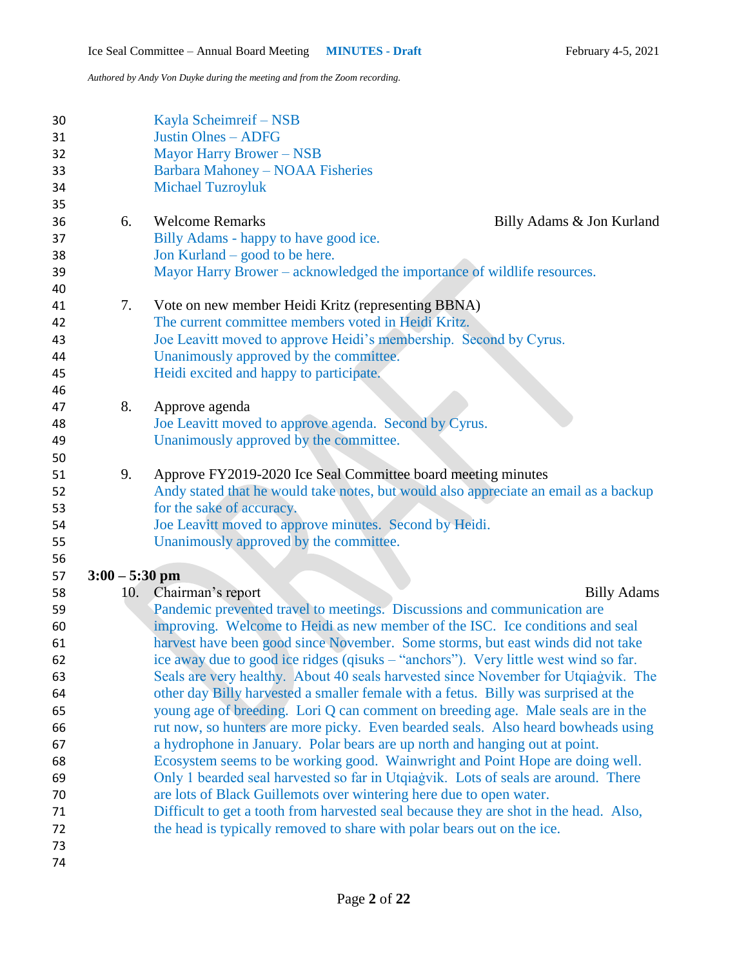| 30<br>31<br>32<br>33<br>34<br>35 |                  |     | Kayla Scheimreif – NSB<br><b>Justin Olnes - ADFG</b><br><b>Mayor Harry Brower - NSB</b><br><b>Barbara Mahoney - NOAA Fisheries</b><br><b>Michael Tuzroyluk</b> |
|----------------------------------|------------------|-----|----------------------------------------------------------------------------------------------------------------------------------------------------------------|
| 36                               |                  | 6.  | <b>Welcome Remarks</b><br>Billy Adams & Jon Kurland                                                                                                            |
| 37                               |                  |     | Billy Adams - happy to have good ice.                                                                                                                          |
| 38                               |                  |     | Jon Kurland – good to be here.                                                                                                                                 |
| 39                               |                  |     | Mayor Harry Brower – acknowledged the importance of wildlife resources.                                                                                        |
| 40                               |                  |     |                                                                                                                                                                |
| 41                               |                  | 7.  | Vote on new member Heidi Kritz (representing BBNA)                                                                                                             |
| 42                               |                  |     | The current committee members voted in Heidi Kritz.                                                                                                            |
| 43                               |                  |     | Joe Leavitt moved to approve Heidi's membership. Second by Cyrus.                                                                                              |
| 44                               |                  |     | Unanimously approved by the committee.                                                                                                                         |
| 45                               |                  |     | Heidi excited and happy to participate.                                                                                                                        |
| 46                               |                  |     |                                                                                                                                                                |
| 47                               | 8.               |     | Approve agenda                                                                                                                                                 |
| 48                               |                  |     | Joe Leavitt moved to approve agenda. Second by Cyrus.                                                                                                          |
| 49                               |                  |     | Unanimously approved by the committee.                                                                                                                         |
| 50                               |                  |     |                                                                                                                                                                |
| 51                               |                  | 9.  | Approve FY2019-2020 Ice Seal Committee board meeting minutes                                                                                                   |
| 52                               |                  |     | Andy stated that he would take notes, but would also appreciate an email as a backup                                                                           |
| 53                               |                  |     | for the sake of accuracy.                                                                                                                                      |
| 54                               |                  |     | Joe Leavitt moved to approve minutes. Second by Heidi.                                                                                                         |
| 55                               |                  |     | Unanimously approved by the committee.                                                                                                                         |
| 56                               |                  |     |                                                                                                                                                                |
| 57                               | $3:00 - 5:30$ pm |     | Chairman's report                                                                                                                                              |
| 58                               |                  | 10. | <b>Billy Adams</b>                                                                                                                                             |
| 59<br>60                         |                  |     | Pandemic prevented travel to meetings. Discussions and communication are<br>improving. Welcome to Heidi as new member of the ISC. Ice conditions and seal      |
| 61                               |                  |     | harvest have been good since November. Some storms, but east winds did not take                                                                                |
| 62                               |                  |     | ice away due to good ice ridges (qisuks - "anchors"). Very little west wind so far.                                                                            |
| 63                               |                  |     | Seals are very healthy. About 40 seals harvested since November for Utqiagvik. The                                                                             |
| 64                               |                  |     | other day Billy harvested a smaller female with a fetus. Billy was surprised at the                                                                            |
| 65                               |                  |     | young age of breeding. Lori Q can comment on breeding age. Male seals are in the                                                                               |
| 66                               |                  |     | rut now, so hunters are more picky. Even bearded seals. Also heard bowheads using                                                                              |
| 67                               |                  |     | a hydrophone in January. Polar bears are up north and hanging out at point.                                                                                    |
| 68                               |                  |     | Ecosystem seems to be working good. Wainwright and Point Hope are doing well.                                                                                  |
| 69                               |                  |     | Only 1 bearded seal harvested so far in Utqiagvik. Lots of seals are around. There                                                                             |
| 70                               |                  |     | are lots of Black Guillemots over wintering here due to open water.                                                                                            |
| 71                               |                  |     | Difficult to get a tooth from harvested seal because they are shot in the head. Also,                                                                          |
| 72                               |                  |     | the head is typically removed to share with polar bears out on the ice.                                                                                        |
| 73                               |                  |     |                                                                                                                                                                |
| 74                               |                  |     |                                                                                                                                                                |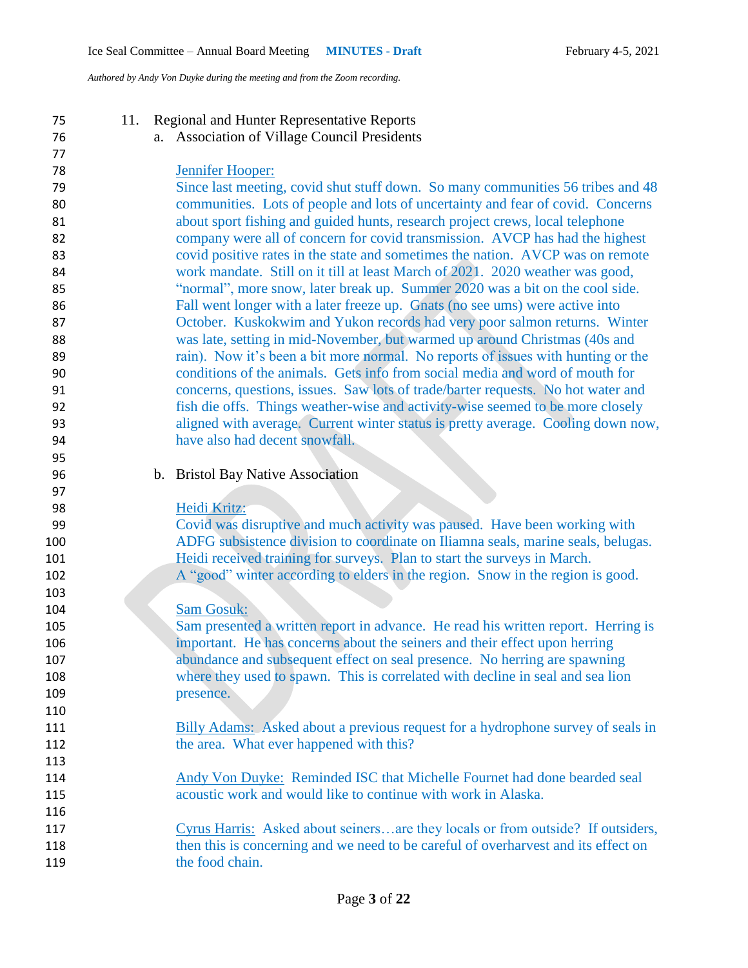| 75         | 11. | <b>Regional and Hunter Representative Reports</b>                                                     |
|------------|-----|-------------------------------------------------------------------------------------------------------|
| 76         |     | a. Association of Village Council Presidents                                                          |
| 77         |     |                                                                                                       |
| 78         |     | Jennifer Hooper:                                                                                      |
| 79         |     | Since last meeting, covid shut stuff down. So many communities 56 tribes and 48                       |
| 80         |     | communities. Lots of people and lots of uncertainty and fear of covid. Concerns                       |
| 81         |     | about sport fishing and guided hunts, research project crews, local telephone                         |
| 82         |     | company were all of concern for covid transmission. AVCP has had the highest                          |
| 83         |     | covid positive rates in the state and sometimes the nation. AVCP was on remote                        |
| 84         |     | work mandate. Still on it till at least March of 2021. 2020 weather was good,                         |
| 85         |     | "normal", more snow, later break up. Summer 2020 was a bit on the cool side.                          |
| 86         |     | Fall went longer with a later freeze up. Gnats (no see ums) were active into                          |
| 87         |     | October. Kuskokwim and Yukon records had very poor salmon returns. Winter                             |
| 88         |     | was late, setting in mid-November, but warmed up around Christmas (40s and                            |
| 89         |     | rain). Now it's been a bit more normal. No reports of issues with hunting or the                      |
| 90         |     | conditions of the animals. Gets info from social media and word of mouth for                          |
| 91         |     | concerns, questions, issues. Saw lots of trade/barter requests. No hot water and                      |
| 92         |     | fish die offs. Things weather-wise and activity-wise seemed to be more closely                        |
| 93         |     | aligned with average. Current winter status is pretty average. Cooling down now,                      |
| 94         |     | have also had decent snowfall.                                                                        |
| 95         |     |                                                                                                       |
| 96         |     | b. Bristol Bay Native Association                                                                     |
| 97         |     |                                                                                                       |
| 98         |     | Heidi Kritz:                                                                                          |
| 99         |     | Covid was disruptive and much activity was paused. Have been working with                             |
| 100        |     | ADFG subsistence division to coordinate on Iliamna seals, marine seals, belugas.                      |
| 101        |     | Heidi received training for surveys. Plan to start the surveys in March.                              |
|            |     |                                                                                                       |
| 102        |     | A "good" winter according to elders in the region. Snow in the region is good.                        |
| 103        |     | <b>Sam Gosuk:</b>                                                                                     |
| 104        |     |                                                                                                       |
| 105        |     | Sam presented a written report in advance. He read his written report. Herring is                     |
| 106        |     | important. He has concerns about the seiners and their effect upon herring                            |
| 107        |     | abundance and subsequent effect on seal presence. No herring are spawning                             |
| 108        |     | where they used to spawn. This is correlated with decline in seal and sea lion                        |
| 109        |     | presence.                                                                                             |
| 110        |     |                                                                                                       |
| 111        |     | <b>Billy Adams:</b> Asked about a previous request for a hydrophone survey of seals in                |
| 112        |     | the area. What ever happened with this?                                                               |
| 113        |     |                                                                                                       |
| 114        |     | Andy Von Duyke: Reminded ISC that Michelle Fournet had done bearded seal                              |
|            |     |                                                                                                       |
| 115        |     | acoustic work and would like to continue with work in Alaska.                                         |
| 116        |     |                                                                                                       |
| 117        |     | Cyrus Harris: Asked about seinersare they locals or from outside? If outsiders,                       |
| 118<br>119 |     | then this is concerning and we need to be careful of overharvest and its effect on<br>the food chain. |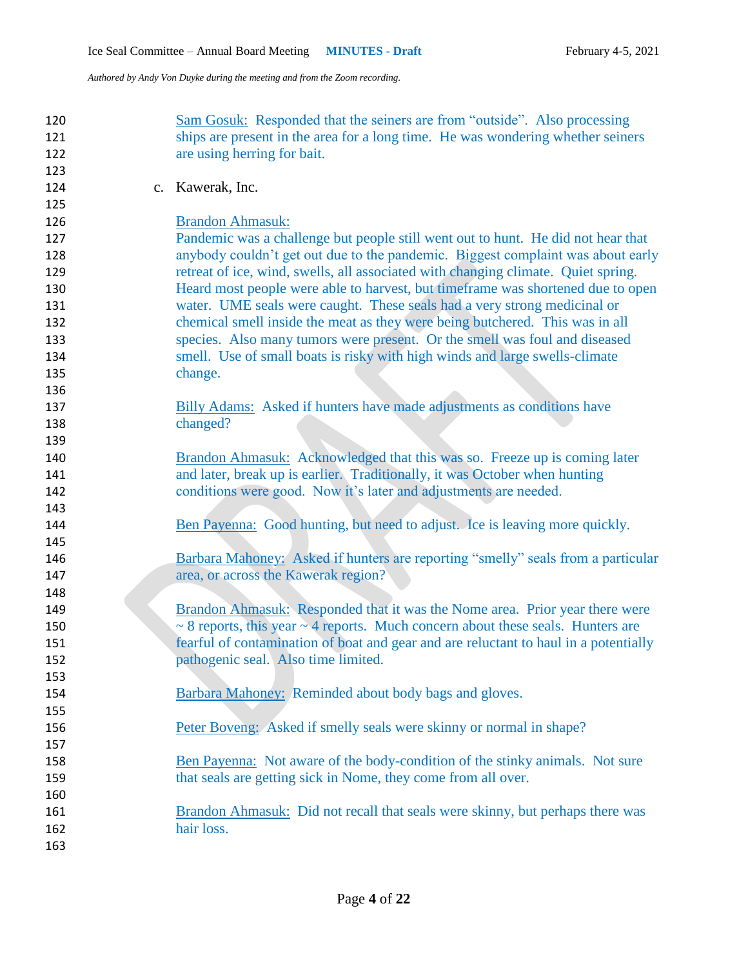| 120 | Sam Gosuk: Responded that the seiners are from "outside". Also processing                 |
|-----|-------------------------------------------------------------------------------------------|
| 121 | ships are present in the area for a long time. He was wondering whether seiners           |
| 122 | are using herring for bait.                                                               |
| 123 |                                                                                           |
| 124 | c. Kawerak, Inc.                                                                          |
| 125 |                                                                                           |
| 126 | <b>Brandon Ahmasuk:</b>                                                                   |
| 127 | Pandemic was a challenge but people still went out to hunt. He did not hear that          |
| 128 | anybody couldn't get out due to the pandemic. Biggest complaint was about early           |
| 129 | retreat of ice, wind, swells, all associated with changing climate. Quiet spring.         |
| 130 | Heard most people were able to harvest, but timeframe was shortened due to open           |
| 131 | water. UME seals were caught. These seals had a very strong medicinal or                  |
| 132 | chemical smell inside the meat as they were being butchered. This was in all              |
| 133 | species. Also many tumors were present. Or the smell was foul and diseased                |
| 134 | smell. Use of small boats is risky with high winds and large swells-climate               |
| 135 | change.                                                                                   |
| 136 |                                                                                           |
| 137 | Billy Adams: Asked if hunters have made adjustments as conditions have                    |
| 138 | changed?                                                                                  |
| 139 |                                                                                           |
| 140 | Brandon Ahmasuk: Acknowledged that this was so. Freeze up is coming later                 |
| 141 | and later, break up is earlier. Traditionally, it was October when hunting                |
| 142 | conditions were good. Now it's later and adjustments are needed.                          |
| 143 |                                                                                           |
| 144 | Ben Payenna: Good hunting, but need to adjust. Ice is leaving more quickly.               |
| 145 |                                                                                           |
| 146 | Barbara Mahoney: Asked if hunters are reporting "smelly" seals from a particular          |
| 147 | area, or across the Kawerak region?                                                       |
| 148 |                                                                                           |
| 149 | Brandon Ahmasuk: Responded that it was the Nome area. Prior year there were               |
| 150 | $\sim$ 8 reports, this year $\sim$ 4 reports. Much concern about these seals. Hunters are |
| 151 | fearful of contamination of boat and gear and are reluctant to haul in a potentially      |
| 152 | pathogenic seal. Also time limited.                                                       |
| 153 |                                                                                           |
| 154 | Barbara Mahoney: Reminded about body bags and gloves.                                     |
| 155 |                                                                                           |
| 156 | Peter Boveng: Asked if smelly seals were skinny or normal in shape?                       |
| 157 |                                                                                           |
| 158 | Ben Payenna: Not aware of the body-condition of the stinky animals. Not sure              |
| 159 | that seals are getting sick in Nome, they come from all over.                             |
| 160 |                                                                                           |
| 161 | Brandon Ahmasuk: Did not recall that seals were skinny, but perhaps there was             |
| 162 | hair loss.                                                                                |
| 163 |                                                                                           |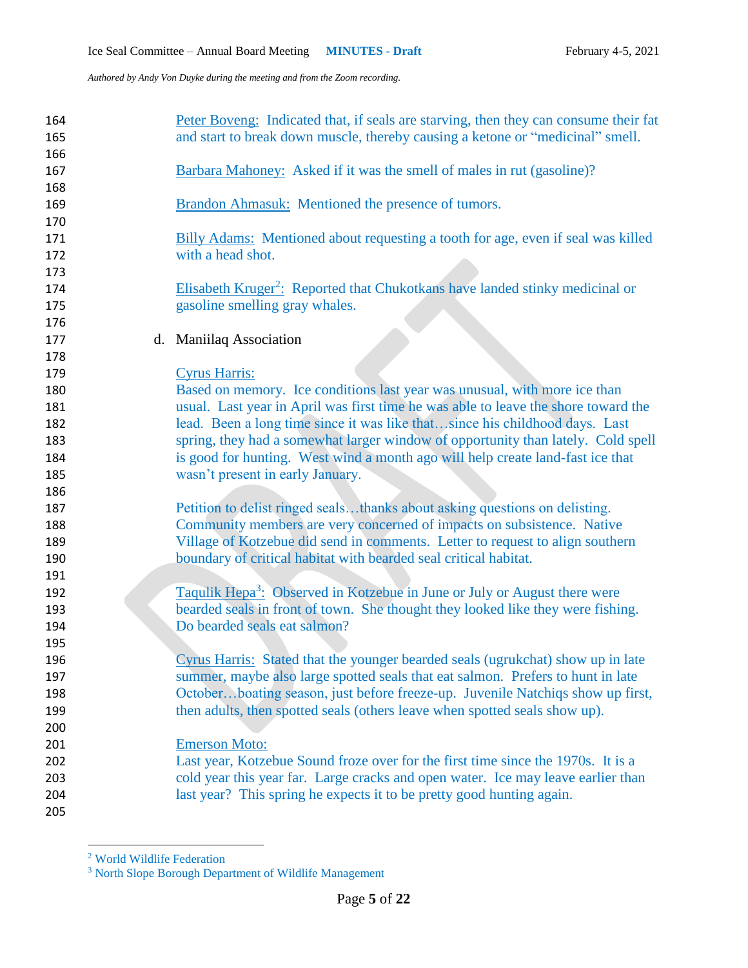| 164 | Peter Boveng: Indicated that, if seals are starving, then they can consume their fat     |
|-----|------------------------------------------------------------------------------------------|
| 165 | and start to break down muscle, thereby causing a ketone or "medicinal" smell.           |
| 166 |                                                                                          |
| 167 | Barbara Mahoney: Asked if it was the smell of males in rut (gasoline)?                   |
| 168 |                                                                                          |
| 169 | Brandon Ahmasuk: Mentioned the presence of tumors.                                       |
| 170 |                                                                                          |
| 171 | Billy Adams: Mentioned about requesting a tooth for age, even if seal was killed         |
| 172 | with a head shot.                                                                        |
| 173 |                                                                                          |
| 174 | Elisabeth Kruger <sup>2</sup> : Reported that Chukotkans have landed stinky medicinal or |
| 175 | gasoline smelling gray whales.                                                           |
| 176 |                                                                                          |
| 177 | d. Maniilaq Association                                                                  |
| 178 |                                                                                          |
| 179 | <b>Cyrus Harris:</b>                                                                     |
| 180 | Based on memory. Ice conditions last year was unusual, with more ice than                |
| 181 | usual. Last year in April was first time he was able to leave the shore toward the       |
| 182 | lead. Been a long time since it was like thatsince his childhood days. Last              |
| 183 | spring, they had a somewhat larger window of opportunity than lately. Cold spell         |
| 184 | is good for hunting. West wind a month ago will help create land-fast ice that           |
| 185 | wasn't present in early January.                                                         |
| 186 |                                                                                          |
| 187 | Petition to delist ringed sealsthanks about asking questions on delisting.               |
| 188 | Community members are very concerned of impacts on subsistence. Native                   |
| 189 | Village of Kotzebue did send in comments. Letter to request to align southern            |
| 190 | boundary of critical habitat with bearded seal critical habitat.                         |
| 191 |                                                                                          |
| 192 | Taqulik Hepa <sup>3</sup> : Observed in Kotzebue in June or July or August there were    |
| 193 | bearded seals in front of town. She thought they looked like they were fishing.          |
| 194 | Do bearded seals eat salmon?                                                             |
| 195 |                                                                                          |
| 196 | Cyrus Harris: Stated that the younger bearded seals (ugrukchat) show up in late          |
| 197 | summer, maybe also large spotted seals that eat salmon. Prefers to hunt in late          |
| 198 | Octoberboating season, just before freeze-up. Juvenile Natchiqs show up first,           |
| 199 | then adults, then spotted seals (others leave when spotted seals show up).               |
| 200 |                                                                                          |
| 201 | <b>Emerson Moto:</b>                                                                     |
| 202 | Last year, Kotzebue Sound froze over for the first time since the 1970s. It is a         |
| 203 | cold year this year far. Large cracks and open water. Ice may leave earlier than         |
| 204 | last year? This spring he expects it to be pretty good hunting again.                    |
| 205 |                                                                                          |

World Wildlife Federation

 $\overline{\phantom{a}}$ 

North Slope Borough Department of Wildlife Management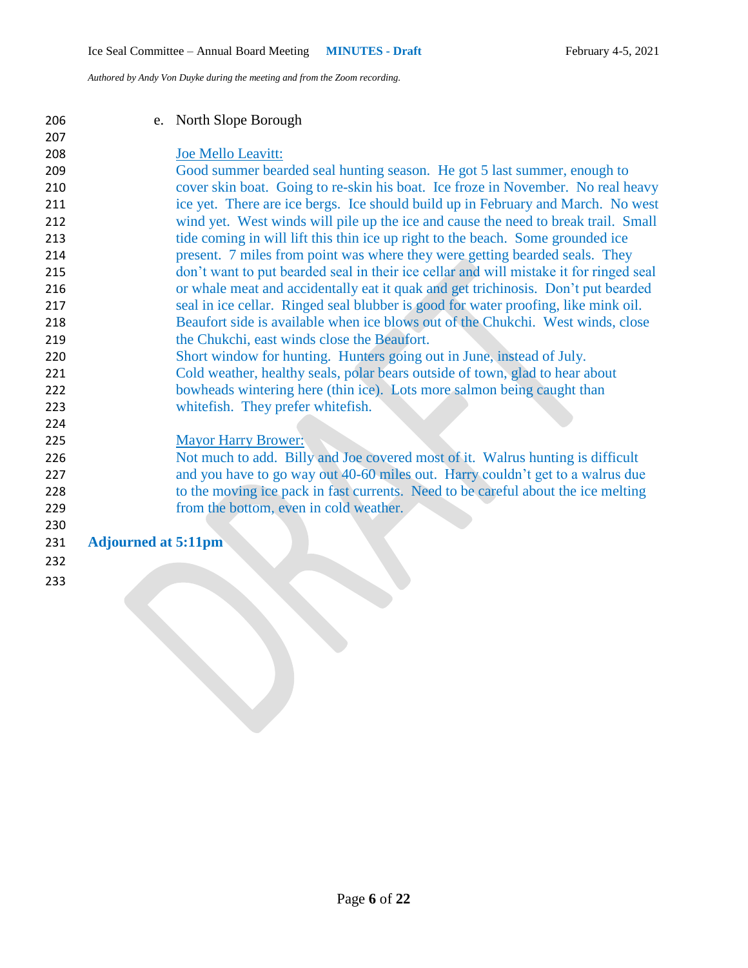e. North Slope Borough

## Joe Mello Leavitt:

- Good summer bearded seal hunting season. He got 5 last summer, enough to cover skin boat. Going to re-skin his boat. Ice froze in November. No real heavy ice yet. There are ice bergs. Ice should build up in February and March. No west wind yet. West winds will pile up the ice and cause the need to break trail. Small tide coming in will lift this thin ice up right to the beach. Some grounded ice present. 7 miles from point was where they were getting bearded seals. They don't want to put bearded seal in their ice cellar and will mistake it for ringed seal or whale meat and accidentally eat it quak and get trichinosis. Don't put bearded seal in ice cellar. Ringed seal blubber is good for water proofing, like mink oil. Beaufort side is available when ice blows out of the Chukchi. West winds, close 219 the Chukchi, east winds close the Beaufort. Short window for hunting. Hunters going out in June, instead of July.
- Cold weather, healthy seals, polar bears outside of town, glad to hear about 222 bowheads wintering here (thin ice). Lots more salmon being caught than
- whitefish. They prefer whitefish.

## Mayor Harry Brower:

 Not much to add. Billy and Joe covered most of it. Walrus hunting is difficult and you have to go way out 40-60 miles out. Harry couldn't get to a walrus due to the moving ice pack in fast currents. Need to be careful about the ice melting from the bottom, even in cold weather.

## **Adjourned at 5:11pm**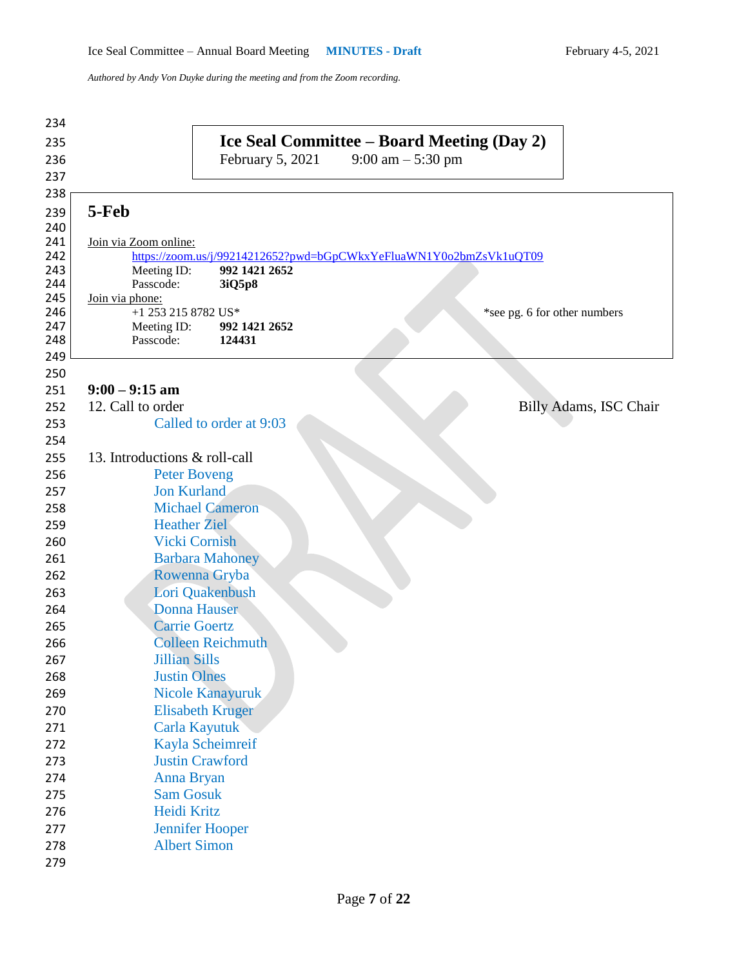| 234        |                                                                                                    |
|------------|----------------------------------------------------------------------------------------------------|
| 235        | Ice Seal Committee – Board Meeting (Day 2)                                                         |
| 236        | February 5, 2021<br>9:00 am $-$ 5:30 pm                                                            |
| 237        |                                                                                                    |
| 238        |                                                                                                    |
| 239        | 5-Feb                                                                                              |
| 240        |                                                                                                    |
| 241        | Join via Zoom online:                                                                              |
| 242<br>243 | https://zoom.us/j/99214212652?pwd=bGpCWkxYeFluaWN1Y0o2bmZsVk1uQT09<br>992 1421 2652<br>Meeting ID: |
| 244        | Passcode:<br>3iQ5p8                                                                                |
| 245        | Join via phone:                                                                                    |
| 246        | +1 253 215 8782 US*<br>*see pg. 6 for other numbers                                                |
| 247        | Meeting ID:<br>992 1421 2652                                                                       |
| 248<br>249 | Passcode:<br>124431                                                                                |
| 250        |                                                                                                    |
| 251        | $9:00 - 9:15$ am                                                                                   |
| 252        | 12. Call to order<br>Billy Adams, ISC Chair                                                        |
| 253        | Called to order at 9:03                                                                            |
| 254        |                                                                                                    |
| 255        | 13. Introductions & roll-call                                                                      |
| 256        | <b>Peter Boveng</b>                                                                                |
| 257        | <b>Jon Kurland</b>                                                                                 |
| 258        | <b>Michael Cameron</b>                                                                             |
| 259        | <b>Heather Ziel</b>                                                                                |
| 260        | <b>Vicki Cornish</b>                                                                               |
| 261        | <b>Barbara Mahoney</b>                                                                             |
| 262        | Rowenna Gryba                                                                                      |
| 263        | Lori Quakenbush                                                                                    |
| 264        | <b>Donna Hauser</b>                                                                                |
| 265        | <b>Carrie Goertz</b>                                                                               |
| 266        | <b>Colleen Reichmuth</b>                                                                           |
| 267        | <b>Jillian Sills</b>                                                                               |
| 268        | <b>Justin Olnes</b>                                                                                |
| 269        | Nicole Kanayuruk                                                                                   |
| 270        | <b>Elisabeth Kruger</b>                                                                            |
| 271        | Carla Kayutuk                                                                                      |
| 272        | Kayla Scheimreif<br><b>Justin Crawford</b>                                                         |
| 273<br>274 | Anna Bryan                                                                                         |
| 275        | <b>Sam Gosuk</b>                                                                                   |
| 276        | Heidi Kritz                                                                                        |
| 277        | <b>Jennifer Hooper</b>                                                                             |
| 278        | <b>Albert Simon</b>                                                                                |
| 279        |                                                                                                    |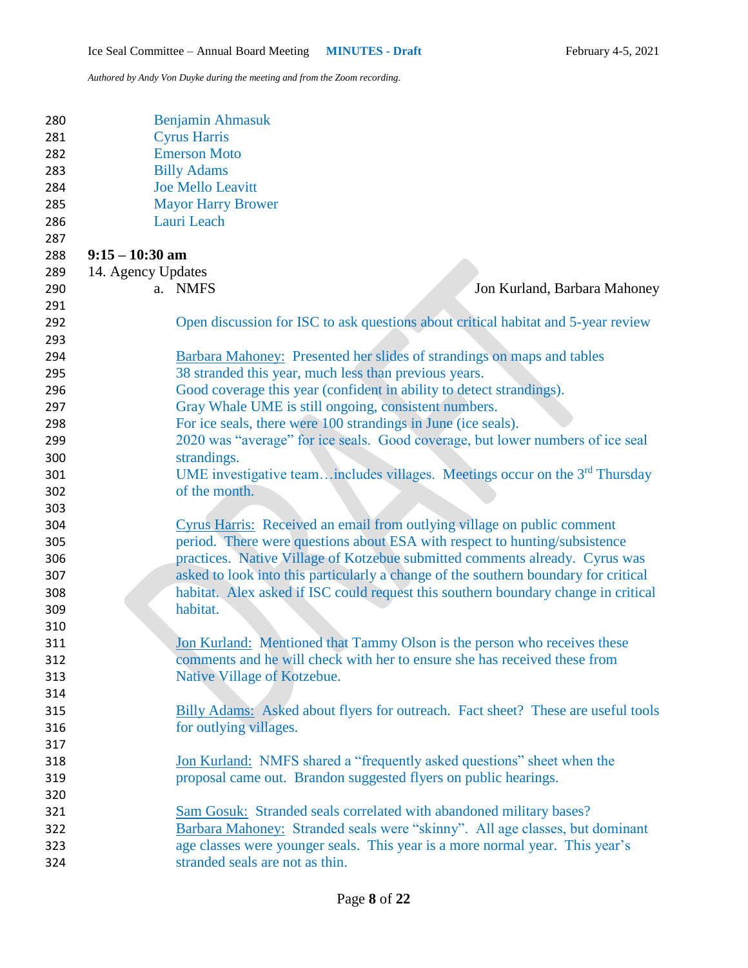| 280<br>281<br>282<br>283<br>284<br>285<br>286<br>287 |                    | Benjamin Ahmasuk<br><b>Cyrus Harris</b><br><b>Emerson Moto</b><br><b>Billy Adams</b><br><b>Joe Mello Leavitt</b><br><b>Mayor Harry Brower</b><br>Lauri Leach |
|------------------------------------------------------|--------------------|--------------------------------------------------------------------------------------------------------------------------------------------------------------|
| 288                                                  | $9:15 - 10:30$ am  |                                                                                                                                                              |
| 289                                                  | 14. Agency Updates |                                                                                                                                                              |
| 290                                                  |                    | a. NMFS<br>Jon Kurland, Barbara Mahoney                                                                                                                      |
| 291                                                  |                    |                                                                                                                                                              |
| 292                                                  |                    | Open discussion for ISC to ask questions about critical habitat and 5-year review                                                                            |
| 293                                                  |                    |                                                                                                                                                              |
| 294                                                  |                    | Barbara Mahoney: Presented her slides of strandings on maps and tables                                                                                       |
| 295                                                  |                    | 38 stranded this year, much less than previous years.                                                                                                        |
| 296                                                  |                    | Good coverage this year (confident in ability to detect strandings).                                                                                         |
| 297                                                  |                    | Gray Whale UME is still ongoing, consistent numbers.                                                                                                         |
| 298                                                  |                    | For ice seals, there were 100 strandings in June (ice seals).                                                                                                |
| 299                                                  |                    | 2020 was "average" for ice seals. Good coverage, but lower numbers of ice seal                                                                               |
| 300                                                  |                    | strandings.                                                                                                                                                  |
| 301                                                  |                    | UME investigative team includes villages. Meetings occur on the $3rd$ Thursday                                                                               |
| 302                                                  |                    | of the month.                                                                                                                                                |
| 303                                                  |                    |                                                                                                                                                              |
| 304                                                  |                    | Cyrus Harris: Received an email from outlying village on public comment                                                                                      |
| 305                                                  |                    | period. There were questions about ESA with respect to hunting/subsistence                                                                                   |
| 306                                                  |                    | practices. Native Village of Kotzebue submitted comments already. Cyrus was                                                                                  |
| 307                                                  |                    | asked to look into this particularly a change of the southern boundary for critical                                                                          |
| 308                                                  |                    | habitat. Alex asked if ISC could request this southern boundary change in critical                                                                           |
| 309                                                  |                    | habitat.                                                                                                                                                     |
| 310                                                  |                    |                                                                                                                                                              |
| 311                                                  |                    | Jon Kurland: Mentioned that Tammy Olson is the person who receives these                                                                                     |
| 312                                                  |                    | comments and he will check with her to ensure she has received these from                                                                                    |
| 313                                                  |                    | Native Village of Kotzebue.                                                                                                                                  |
| 314                                                  |                    |                                                                                                                                                              |
| 315                                                  |                    | Billy Adams: Asked about flyers for outreach. Fact sheet? These are useful tools                                                                             |
| 316                                                  |                    | for outlying villages.                                                                                                                                       |
| 317                                                  |                    |                                                                                                                                                              |
| 318                                                  |                    | Jon Kurland: NMFS shared a "frequently asked questions" sheet when the                                                                                       |
| 319                                                  |                    | proposal came out. Brandon suggested flyers on public hearings.                                                                                              |
| 320                                                  |                    |                                                                                                                                                              |
| 321                                                  |                    | Sam Gosuk: Stranded seals correlated with abandoned military bases?                                                                                          |
| 322                                                  |                    | Barbara Mahoney: Stranded seals were "skinny". All age classes, but dominant                                                                                 |
| 323                                                  |                    | age classes were younger seals. This year is a more normal year. This year's                                                                                 |
| 324                                                  |                    | stranded seals are not as thin.                                                                                                                              |
|                                                      |                    |                                                                                                                                                              |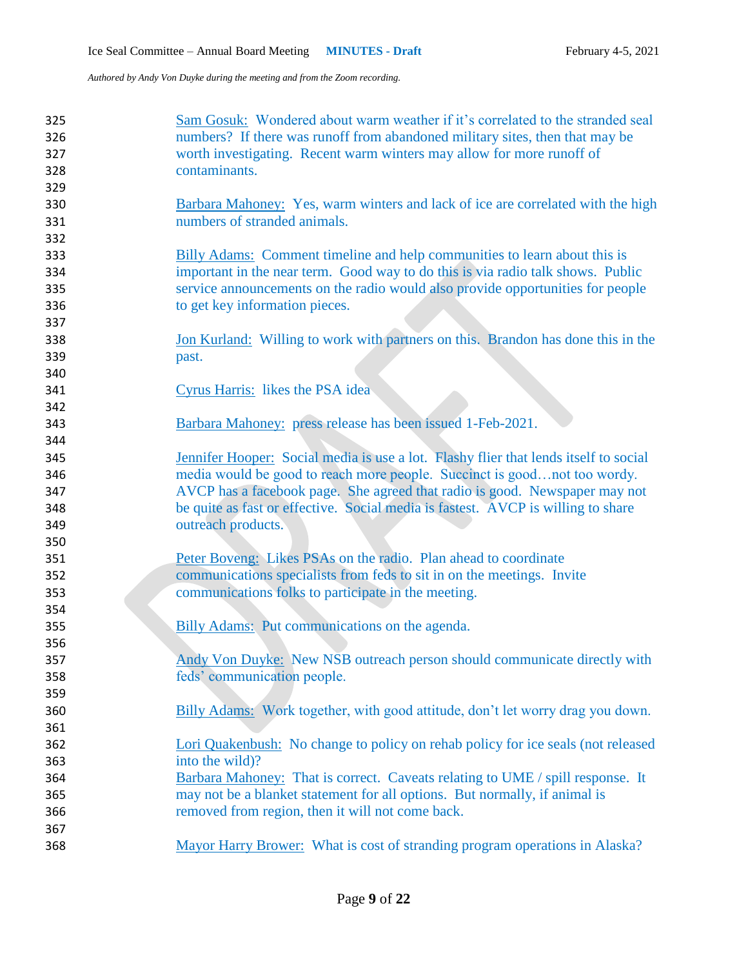| 325 | Sam Gosuk: Wondered about warm weather if it's correlated to the stranded seal         |
|-----|----------------------------------------------------------------------------------------|
| 326 | numbers? If there was runoff from abandoned military sites, then that may be           |
| 327 | worth investigating. Recent warm winters may allow for more runoff of                  |
| 328 | contaminants.                                                                          |
| 329 |                                                                                        |
| 330 | <b>Barbara Mahoney:</b> Yes, warm winters and lack of ice are correlated with the high |
| 331 | numbers of stranded animals.                                                           |
| 332 |                                                                                        |
| 333 | Billy Adams: Comment timeline and help communities to learn about this is              |
| 334 | important in the near term. Good way to do this is via radio talk shows. Public        |
| 335 | service announcements on the radio would also provide opportunities for people         |
| 336 | to get key information pieces.                                                         |
| 337 |                                                                                        |
| 338 | Jon Kurland: Willing to work with partners on this. Brandon has done this in the       |
| 339 | past.                                                                                  |
| 340 |                                                                                        |
| 341 | <b>Cyrus Harris:</b> likes the PSA idea                                                |
| 342 |                                                                                        |
| 343 | Barbara Mahoney: press release has been issued 1-Feb-2021.                             |
| 344 |                                                                                        |
| 345 | Jennifer Hooper: Social media is use a lot. Flashy flier that lends itself to social   |
| 346 | media would be good to reach more people. Succinct is goodnot too wordy.               |
| 347 | AVCP has a facebook page. She agreed that radio is good. Newspaper may not             |
| 348 | be quite as fast or effective. Social media is fastest. AVCP is willing to share       |
| 349 | outreach products.                                                                     |
| 350 |                                                                                        |
| 351 | Peter Boveng: Likes PSAs on the radio. Plan ahead to coordinate                        |
| 352 | communications specialists from feds to sit in on the meetings. Invite                 |
| 353 | communications folks to participate in the meeting.                                    |
| 354 |                                                                                        |
| 355 | Billy Adams: Put communications on the agenda.                                         |
| 356 |                                                                                        |
| 357 | Andy Von Duyke: New NSB outreach person should communicate directly with               |
| 358 | feds' communication people.                                                            |
| 359 |                                                                                        |
| 360 | Billy Adams: Work together, with good attitude, don't let worry drag you down.         |
| 361 |                                                                                        |
| 362 | Lori Quakenbush: No change to policy on rehab policy for ice seals (not released       |
| 363 | into the wild)?                                                                        |
| 364 | Barbara Mahoney: That is correct. Caveats relating to UME / spill response. It         |
| 365 | may not be a blanket statement for all options. But normally, if animal is             |
| 366 | removed from region, then it will not come back.                                       |
| 367 |                                                                                        |
| 368 | Mayor Harry Brower: What is cost of stranding program operations in Alaska?            |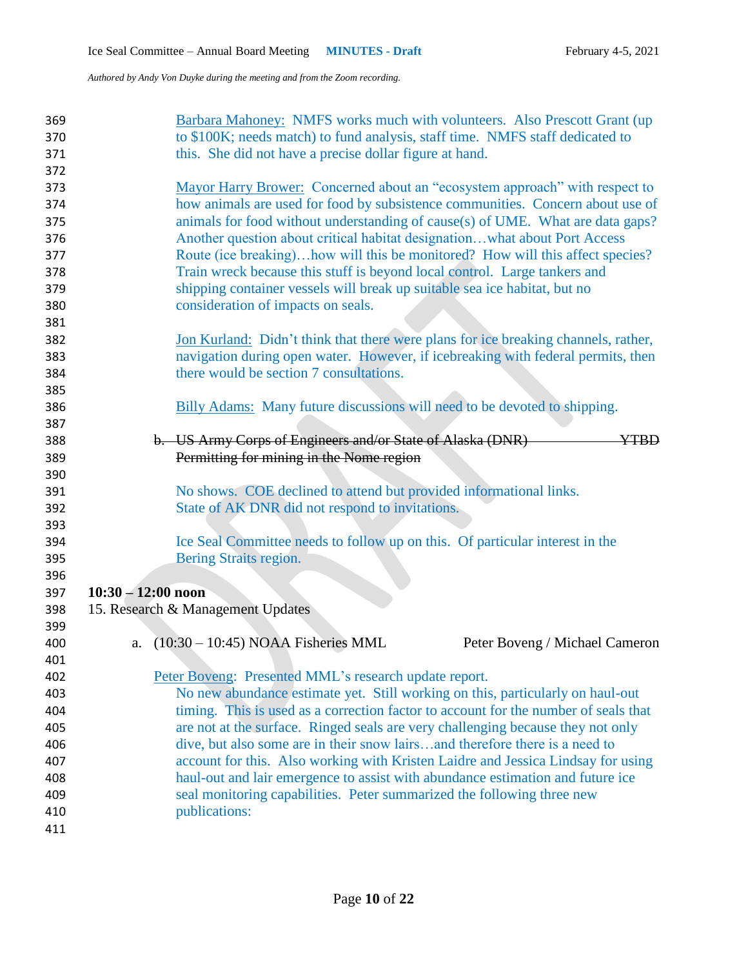| 369<br>370<br>371<br>372 | Barbara Mahoney: NMFS works much with volunteers. Also Prescott Grant (up)<br>to \$100K; needs match) to fund analysis, staff time. NMFS staff dedicated to<br>this. She did not have a precise dollar figure at hand.                          |
|--------------------------|-------------------------------------------------------------------------------------------------------------------------------------------------------------------------------------------------------------------------------------------------|
| 373<br>374<br>375        | Mayor Harry Brower: Concerned about an "ecosystem approach" with respect to<br>how animals are used for food by subsistence communities. Concern about use of<br>animals for food without understanding of cause(s) of UME. What are data gaps? |
| 376                      | Another question about critical habitat designationwhat about Port Access                                                                                                                                                                       |
| 377                      | Route (ice breaking)how will this be monitored? How will this affect species?                                                                                                                                                                   |
| 378                      | Train wreck because this stuff is beyond local control. Large tankers and                                                                                                                                                                       |
| 379                      | shipping container vessels will break up suitable sea ice habitat, but no                                                                                                                                                                       |
| 380                      | consideration of impacts on seals.                                                                                                                                                                                                              |
| 381                      |                                                                                                                                                                                                                                                 |
| 382                      | Jon Kurland: Didn't think that there were plans for ice breaking channels, rather,                                                                                                                                                              |
| 383                      | navigation during open water. However, if icebreaking with federal permits, then<br>there would be section 7 consultations.                                                                                                                     |
| 384<br>385               |                                                                                                                                                                                                                                                 |
| 386                      | <b>Billy Adams:</b> Many future discussions will need to be devoted to shipping.                                                                                                                                                                |
| 387                      |                                                                                                                                                                                                                                                 |
| 388                      | b. US Army Corps of Engineers and/or State of Alaska (DNR)<br><b>YTBD</b>                                                                                                                                                                       |
| 389                      | Permitting for mining in the Nome region                                                                                                                                                                                                        |
| 390                      |                                                                                                                                                                                                                                                 |
| 391                      | No shows. COE declined to attend but provided informational links.                                                                                                                                                                              |
| 392                      | State of AK DNR did not respond to invitations.                                                                                                                                                                                                 |
| 393                      |                                                                                                                                                                                                                                                 |
| 394                      | Ice Seal Committee needs to follow up on this. Of particular interest in the                                                                                                                                                                    |
| 395                      | Bering Straits region.                                                                                                                                                                                                                          |
| 396                      |                                                                                                                                                                                                                                                 |
| 397                      | $10:30 - 12:00$ noon                                                                                                                                                                                                                            |
| 398                      | 15. Research & Management Updates                                                                                                                                                                                                               |
| 399                      |                                                                                                                                                                                                                                                 |
| 400                      | $(10:30 - 10:45)$ NOAA Fisheries MML<br>Peter Boveng / Michael Cameron<br>a.                                                                                                                                                                    |
| 401                      |                                                                                                                                                                                                                                                 |
| 402                      | Peter Boveng: Presented MML's research update report.                                                                                                                                                                                           |
| 403<br>404               | No new abundance estimate yet. Still working on this, particularly on haul-out                                                                                                                                                                  |
| 405                      | timing. This is used as a correction factor to account for the number of seals that<br>are not at the surface. Ringed seals are very challenging because they not only                                                                          |
| 406                      | dive, but also some are in their snow lairsand therefore there is a need to                                                                                                                                                                     |
| 407                      | account for this. Also working with Kristen Laidre and Jessica Lindsay for using                                                                                                                                                                |
| 408                      | haul-out and lair emergence to assist with abundance estimation and future ice                                                                                                                                                                  |
| 409                      | seal monitoring capabilities. Peter summarized the following three new                                                                                                                                                                          |
| 410                      | publications:                                                                                                                                                                                                                                   |
| 411                      |                                                                                                                                                                                                                                                 |
|                          |                                                                                                                                                                                                                                                 |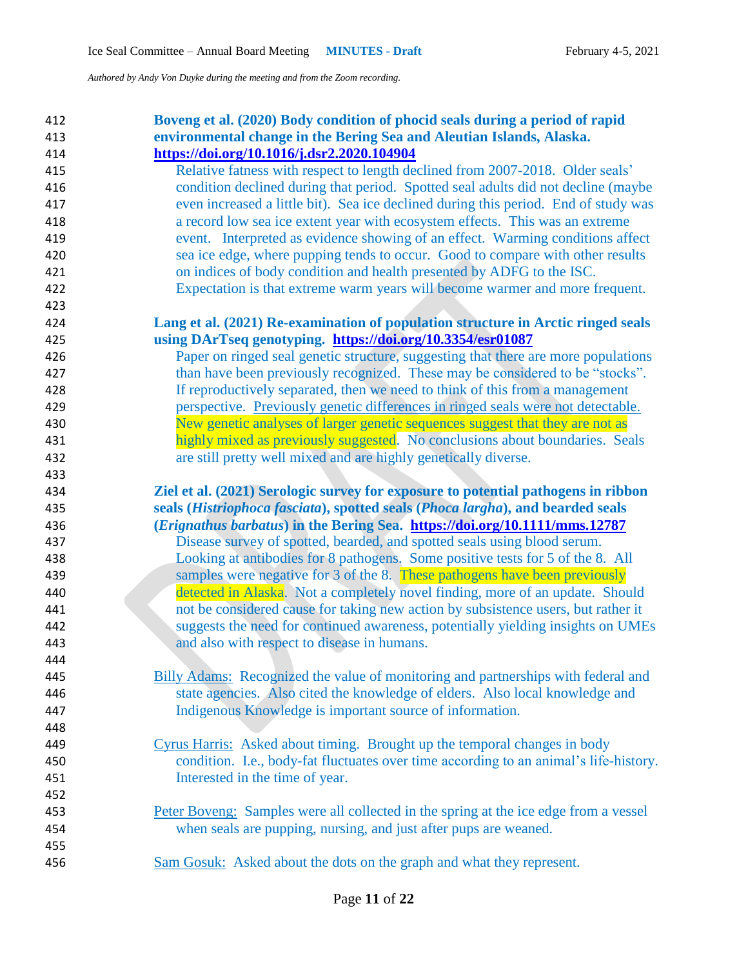| 412 | Boveng et al. (2020) Body condition of phocid seals during a period of rapid          |
|-----|---------------------------------------------------------------------------------------|
| 413 | environmental change in the Bering Sea and Aleutian Islands, Alaska.                  |
| 414 | https://doi.org/10.1016/j.dsr2.2020.104904                                            |
| 415 | Relative fatness with respect to length declined from 2007-2018. Older seals'         |
| 416 | condition declined during that period. Spotted seal adults did not decline (maybe     |
| 417 | even increased a little bit). Sea ice declined during this period. End of study was   |
| 418 | a record low sea ice extent year with ecosystem effects. This was an extreme          |
| 419 | event. Interpreted as evidence showing of an effect. Warming conditions affect        |
| 420 | sea ice edge, where pupping tends to occur. Good to compare with other results        |
| 421 | on indices of body condition and health presented by ADFG to the ISC.                 |
| 422 | Expectation is that extreme warm years will become warmer and more frequent.          |
| 423 |                                                                                       |
| 424 | Lang et al. (2021) Re-examination of population structure in Arctic ringed seals      |
| 425 | using DArTseq genotyping. https://doi.org/10.3354/esr01087                            |
| 426 | Paper on ringed seal genetic structure, suggesting that there are more populations    |
| 427 | than have been previously recognized. These may be considered to be "stocks".         |
| 428 | If reproductively separated, then we need to think of this from a management          |
| 429 | perspective. Previously genetic differences in ringed seals were not detectable.      |
| 430 | New genetic analyses of larger genetic sequences suggest that they are not as         |
| 431 | highly mixed as previously suggested. No conclusions about boundaries. Seals          |
| 432 | are still pretty well mixed and are highly genetically diverse.                       |
| 433 |                                                                                       |
| 434 | Ziel et al. (2021) Serologic survey for exposure to potential pathogens in ribbon     |
| 435 | seals (Histriophoca fasciata), spotted seals (Phoca largha), and bearded seals        |
| 436 | (Erignathus barbatus) in the Bering Sea. https://doi.org/10.1111/mms.12787            |
| 437 | Disease survey of spotted, bearded, and spotted seals using blood serum.              |
| 438 | Looking at antibodies for 8 pathogens. Some positive tests for 5 of the 8. All        |
| 439 | samples were negative for 3 of the 8. These pathogens have been previously            |
| 440 | detected in Alaska. Not a completely novel finding, more of an update. Should         |
| 441 | not be considered cause for taking new action by subsistence users, but rather it     |
| 442 | suggests the need for continued awareness, potentially yielding insights on UMEs      |
| 443 | and also with respect to disease in humans.                                           |
| 444 |                                                                                       |
| 445 | Billy Adams: Recognized the value of monitoring and partnerships with federal and     |
| 446 | state agencies. Also cited the knowledge of elders. Also local knowledge and          |
| 447 | Indigenous Knowledge is important source of information.                              |
| 448 |                                                                                       |
| 449 | Cyrus Harris: Asked about timing. Brought up the temporal changes in body             |
| 450 | condition. I.e., body-fat fluctuates over time according to an animal's life-history. |
| 451 | Interested in the time of year.                                                       |
| 452 |                                                                                       |
| 453 | Peter Boveng: Samples were all collected in the spring at the ice edge from a vessel  |
| 454 | when seals are pupping, nursing, and just after pups are weaned.                      |
| 455 |                                                                                       |
| 456 | Sam Gosuk: Asked about the dots on the graph and what they represent.                 |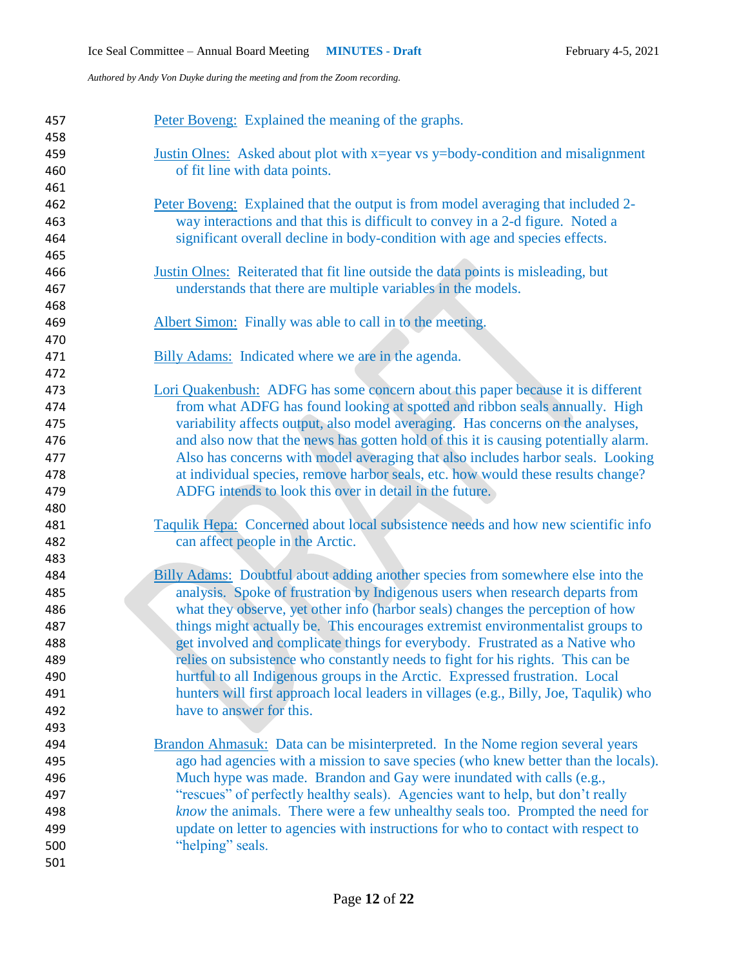| 457<br>458 | Peter Boveng: Explained the meaning of the graphs.                                     |
|------------|----------------------------------------------------------------------------------------|
| 459        | Justin Olnes: Asked about plot with x=year vs y=body-condition and misalignment        |
| 460        | of fit line with data points.                                                          |
| 461        |                                                                                        |
| 462        | Peter Boveng: Explained that the output is from model averaging that included 2-       |
| 463        | way interactions and that this is difficult to convey in a 2-d figure. Noted a         |
| 464        | significant overall decline in body-condition with age and species effects.            |
| 465        |                                                                                        |
| 466        | Justin Olnes: Reiterated that fit line outside the data points is misleading, but      |
| 467        | understands that there are multiple variables in the models.                           |
| 468        |                                                                                        |
| 469        | Albert Simon: Finally was able to call in to the meeting.                              |
| 470        |                                                                                        |
| 471        | Billy Adams: Indicated where we are in the agenda.                                     |
| 472        |                                                                                        |
| 473        | Lori Quakenbush: ADFG has some concern about this paper because it is different        |
| 474        | from what ADFG has found looking at spotted and ribbon seals annually. High            |
| 475        | variability affects output, also model averaging. Has concerns on the analyses,        |
| 476        | and also now that the news has gotten hold of this it is causing potentially alarm.    |
| 477        | Also has concerns with model averaging that also includes harbor seals. Looking        |
| 478        | at individual species, remove harbor seals, etc. how would these results change?       |
| 479        | ADFG intends to look this over in detail in the future.                                |
| 480        |                                                                                        |
| 481        | Taqulik Hepa: Concerned about local subsistence needs and how new scientific info      |
| 482        | can affect people in the Arctic.                                                       |
| 483        |                                                                                        |
| 484        | <b>Billy Adams:</b> Doubtful about adding another species from somewhere else into the |
| 485        | analysis. Spoke of frustration by Indigenous users when research departs from          |
| 486        | what they observe, yet other info (harbor seals) changes the perception of how         |
| 487        | things might actually be. This encourages extremist environmentalist groups to         |
| 488        | get involved and complicate things for everybody. Frustrated as a Native who           |
| 489        | relies on subsistence who constantly needs to fight for his rights. This can be        |
| 490        | hurtful to all Indigenous groups in the Arctic. Expressed frustration. Local           |
| 491        | hunters will first approach local leaders in villages (e.g., Billy, Joe, Taqulik) who  |
| 492        | have to answer for this.                                                               |
| 493        |                                                                                        |
| 494        | Brandon Ahmasuk: Data can be misinterpreted. In the Nome region several years          |
| 495        | ago had agencies with a mission to save species (who knew better than the locals).     |
| 496        | Much hype was made. Brandon and Gay were inundated with calls (e.g.,                   |
| 497        | "rescues" of perfectly healthy seals). Agencies want to help, but don't really         |
| 498        | know the animals. There were a few unhealthy seals too. Prompted the need for          |
| 499        | update on letter to agencies with instructions for who to contact with respect to      |
| 500        | "helping" seals.                                                                       |
| 501        |                                                                                        |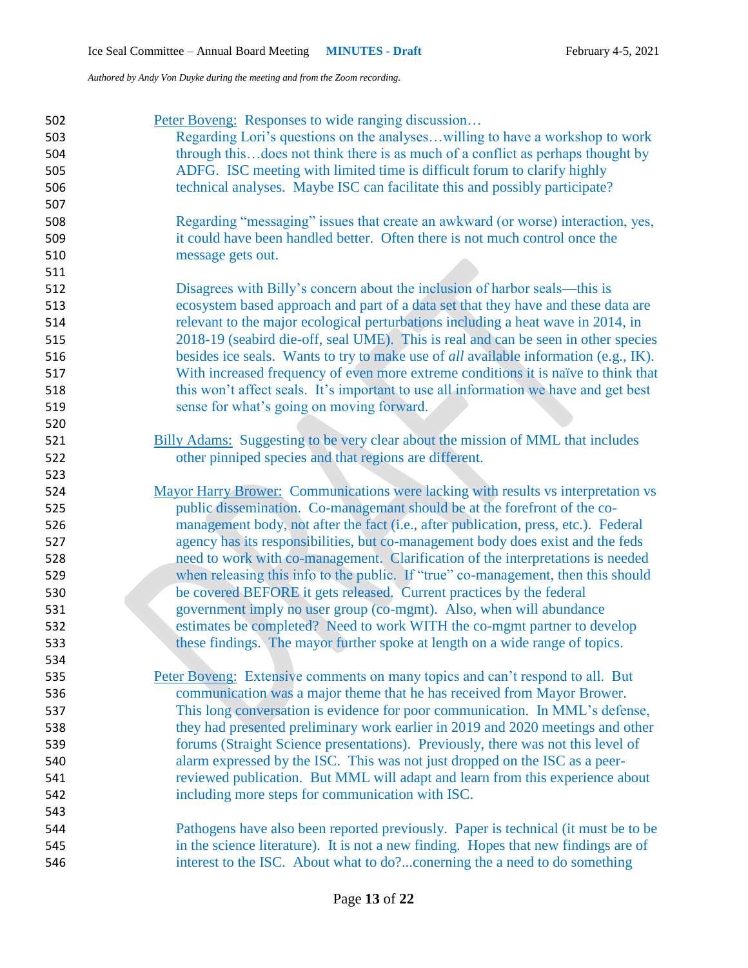| 502 | Peter Boveng: Responses to wide ranging discussion                                   |
|-----|--------------------------------------------------------------------------------------|
| 503 | Regarding Lori's questions on the analyseswilling to have a workshop to work         |
| 504 | through thisdoes not think there is as much of a conflict as perhaps thought by      |
| 505 | ADFG. ISC meeting with limited time is difficult forum to clarify highly             |
| 506 | technical analyses. Maybe ISC can facilitate this and possibly participate?          |
| 507 |                                                                                      |
| 508 | Regarding "messaging" issues that create an awkward (or worse) interaction, yes,     |
| 509 | it could have been handled better. Often there is not much control once the          |
| 510 | message gets out.                                                                    |
| 511 |                                                                                      |
| 512 | Disagrees with Billy's concern about the inclusion of harbor seals—this is           |
| 513 | ecosystem based approach and part of a data set that they have and these data are    |
| 514 | relevant to the major ecological perturbations including a heat wave in 2014, in     |
| 515 | 2018-19 (seabird die-off, seal UME). This is real and can be seen in other species   |
| 516 | besides ice seals. Wants to try to make use of all available information (e.g., IK). |
| 517 | With increased frequency of even more extreme conditions it is naïve to think that   |
| 518 | this won't affect seals. It's important to use all information we have and get best  |
| 519 | sense for what's going on moving forward.                                            |
| 520 |                                                                                      |
| 521 | Billy Adams: Suggesting to be very clear about the mission of MML that includes      |
| 522 | other pinniped species and that regions are different.                               |
| 523 |                                                                                      |
| 524 | Mayor Harry Brower: Communications were lacking with results vs interpretation vs    |
| 525 | public dissemination. Co-managemant should be at the forefront of the co-            |
| 526 | management body, not after the fact (i.e., after publication, press, etc.). Federal  |
| 527 | agency has its responsibilities, but co-management body does exist and the feds      |
| 528 | need to work with co-management. Clarification of the interpretations is needed      |
| 529 | when releasing this info to the public. If "true" co-management, then this should    |
| 530 | be covered BEFORE it gets released. Current practices by the federal                 |
| 531 | government imply no user group (co-mgmt). Also, when will abundance                  |
| 532 | estimates be completed? Need to work WITH the co-mgmt partner to develop             |
| 533 | these findings. The mayor further spoke at length on a wide range of topics.         |
| 534 |                                                                                      |
| 535 | Peter Boveng: Extensive comments on many topics and can't respond to all. But        |
| 536 | communication was a major theme that he has received from Mayor Brower.              |
| 537 | This long conversation is evidence for poor communication. In MML's defense,         |
| 538 | they had presented preliminary work earlier in 2019 and 2020 meetings and other      |
| 539 | forums (Straight Science presentations). Previously, there was not this level of     |
| 540 | alarm expressed by the ISC. This was not just dropped on the ISC as a peer-          |
| 541 | reviewed publication. But MML will adapt and learn from this experience about        |
| 542 | including more steps for communication with ISC.                                     |
| 543 |                                                                                      |
| 544 | Pathogens have also been reported previously. Paper is technical (it must be to be   |
| 545 | in the science literature). It is not a new finding. Hopes that new findings are of  |
| 546 | interest to the ISC. About what to do?conerning the a need to do something           |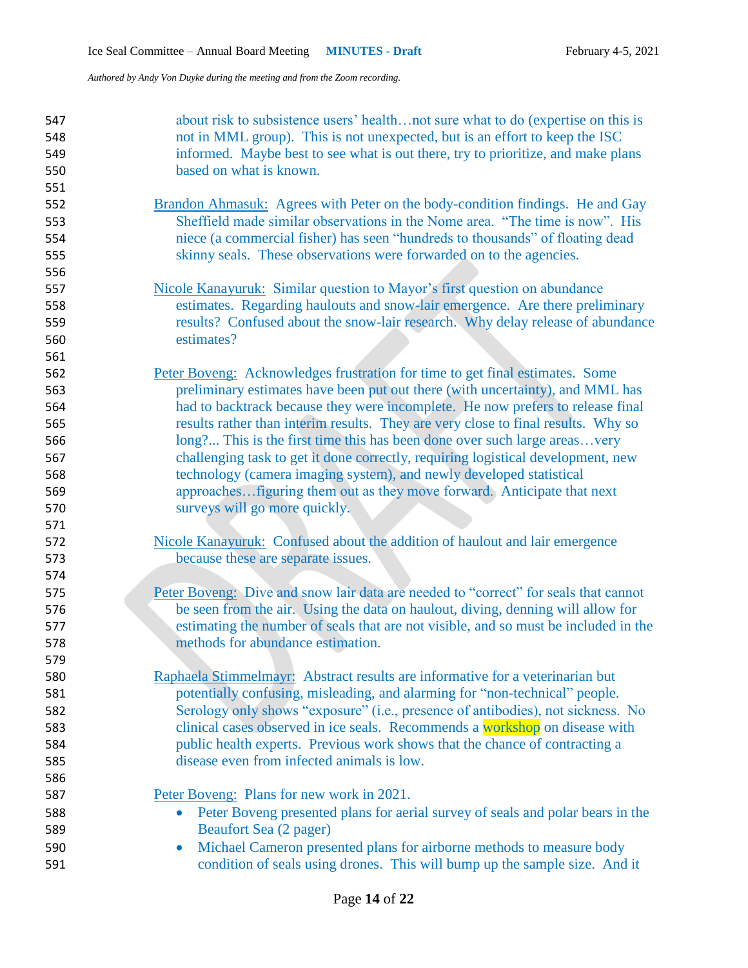| 547 | about risk to subsistence users' healthnot sure what to do (expertise on this is            |
|-----|---------------------------------------------------------------------------------------------|
| 548 | not in MML group). This is not unexpected, but is an effort to keep the ISC                 |
| 549 | informed. Maybe best to see what is out there, try to prioritize, and make plans            |
| 550 | based on what is known.                                                                     |
| 551 |                                                                                             |
| 552 | <b>Brandon Ahmasuk:</b> Agrees with Peter on the body-condition findings. He and Gay        |
| 553 | Sheffield made similar observations in the Nome area. "The time is now". His                |
| 554 | niece (a commercial fisher) has seen "hundreds to thousands" of floating dead               |
| 555 | skinny seals. These observations were forwarded on to the agencies.                         |
| 556 |                                                                                             |
| 557 | Nicole Kanayuruk: Similar question to Mayor's first question on abundance                   |
| 558 | estimates. Regarding haulouts and snow-lair emergence. Are there preliminary                |
| 559 | results? Confused about the snow-lair research. Why delay release of abundance              |
| 560 | estimates?                                                                                  |
| 561 |                                                                                             |
| 562 | Peter Boveng: Acknowledges frustration for time to get final estimates. Some                |
| 563 | preliminary estimates have been put out there (with uncertainty), and MML has               |
| 564 | had to backtrack because they were incomplete. He now prefers to release final              |
| 565 | results rather than interim results. They are very close to final results. Why so           |
| 566 | long? This is the first time this has been done over such large areasvery                   |
| 567 | challenging task to get it done correctly, requiring logistical development, new            |
| 568 | technology (camera imaging system), and newly developed statistical                         |
| 569 | approaches figuring them out as they move forward. Anticipate that next                     |
| 570 | surveys will go more quickly.                                                               |
| 571 |                                                                                             |
| 572 | Nicole Kanayuruk: Confused about the addition of haulout and lair emergence                 |
| 573 | because these are separate issues.                                                          |
| 574 |                                                                                             |
| 575 | Peter Boveng: Dive and snow lair data are needed to "correct" for seals that cannot         |
| 576 | be seen from the air. Using the data on haulout, diving, denning will allow for             |
| 577 | estimating the number of seals that are not visible, and so must be included in the         |
| 578 | methods for abundance estimation.                                                           |
| 579 |                                                                                             |
| 580 | Raphaela Stimmelmayr: Abstract results are informative for a veterinarian but               |
| 581 | potentially confusing, misleading, and alarming for "non-technical" people.                 |
| 582 | Serology only shows "exposure" (i.e., presence of antibodies), not sickness. No             |
| 583 | clinical cases observed in ice seals. Recommends a workshop on disease with                 |
| 584 | public health experts. Previous work shows that the chance of contracting a                 |
| 585 | disease even from infected animals is low.                                                  |
| 586 |                                                                                             |
| 587 | Peter Boveng: Plans for new work in 2021.                                                   |
| 588 | Peter Boveng presented plans for aerial survey of seals and polar bears in the<br>$\bullet$ |
| 589 | Beaufort Sea (2 pager)                                                                      |
| 590 | Michael Cameron presented plans for airborne methods to measure body<br>$\bullet$           |
| 591 | condition of seals using drones. This will bump up the sample size. And it                  |
|     |                                                                                             |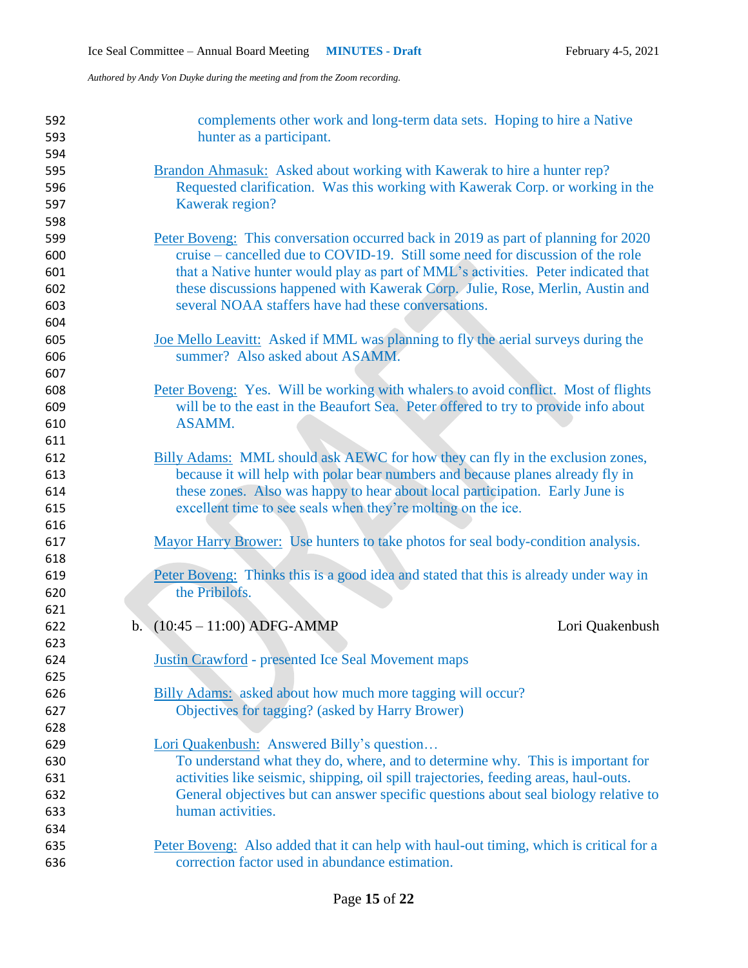| 592<br>593<br>594 | complements other work and long-term data sets. Hoping to hire a Native<br>hunter as a participant.                                                                  |
|-------------------|----------------------------------------------------------------------------------------------------------------------------------------------------------------------|
| 595               | Brandon Ahmasuk: Asked about working with Kawerak to hire a hunter rep?                                                                                              |
| 596               | Requested clarification. Was this working with Kawerak Corp. or working in the                                                                                       |
| 597               | Kawerak region?                                                                                                                                                      |
| 598               |                                                                                                                                                                      |
|                   |                                                                                                                                                                      |
| 599               | Peter Boveng: This conversation occurred back in 2019 as part of planning for 2020<br>cruise – cancelled due to COVID-19. Still some need for discussion of the role |
| 600               |                                                                                                                                                                      |
| 601               | that a Native hunter would play as part of MML's activities. Peter indicated that                                                                                    |
| 602               | these discussions happened with Kawerak Corp. Julie, Rose, Merlin, Austin and                                                                                        |
| 603               | several NOAA staffers have had these conversations.                                                                                                                  |
| 604               |                                                                                                                                                                      |
| 605               | Joe Mello Leavitt: Asked if MML was planning to fly the aerial surveys during the                                                                                    |
| 606               | summer? Also asked about ASAMM.                                                                                                                                      |
| 607               |                                                                                                                                                                      |
| 608               | Peter Boveng: Yes. Will be working with whalers to avoid conflict. Most of flights                                                                                   |
| 609               | will be to the east in the Beaufort Sea. Peter offered to try to provide info about                                                                                  |
| 610               | ASAMM.                                                                                                                                                               |
| 611               |                                                                                                                                                                      |
| 612               | Billy Adams: MML should ask AEWC for how they can fly in the exclusion zones,                                                                                        |
| 613               | because it will help with polar bear numbers and because planes already fly in                                                                                       |
| 614               | these zones. Also was happy to hear about local participation. Early June is                                                                                         |
| 615               | excellent time to see seals when they're molting on the ice.                                                                                                         |
| 616               |                                                                                                                                                                      |
| 617               | Mayor Harry Brower: Use hunters to take photos for seal body-condition analysis.                                                                                     |
| 618               |                                                                                                                                                                      |
| 619               | Peter Boveng: Thinks this is a good idea and stated that this is already under way in                                                                                |
| 620               | the Pribilofs.                                                                                                                                                       |
| 621               |                                                                                                                                                                      |
| 622               | b. $(10:45 - 11:00)$ ADFG-AMMP<br>Lori Quakenbush                                                                                                                    |
| 623               |                                                                                                                                                                      |
| 624               | <b>Justin Crawford</b> - presented Ice Seal Movement maps                                                                                                            |
| 625               |                                                                                                                                                                      |
| 626               | Billy Adams: asked about how much more tagging will occur?                                                                                                           |
| 627               | Objectives for tagging? (asked by Harry Brower)                                                                                                                      |
| 628               |                                                                                                                                                                      |
| 629               | Lori Quakenbush: Answered Billy's question                                                                                                                           |
| 630               | To understand what they do, where, and to determine why. This is important for                                                                                       |
| 631               | activities like seismic, shipping, oil spill trajectories, feeding areas, haul-outs.                                                                                 |
| 632               | General objectives but can answer specific questions about seal biology relative to                                                                                  |
| 633               | human activities.                                                                                                                                                    |
| 634               |                                                                                                                                                                      |
| 635               | Peter Boveng: Also added that it can help with haul-out timing, which is critical for a                                                                              |
| 636               | correction factor used in abundance estimation.                                                                                                                      |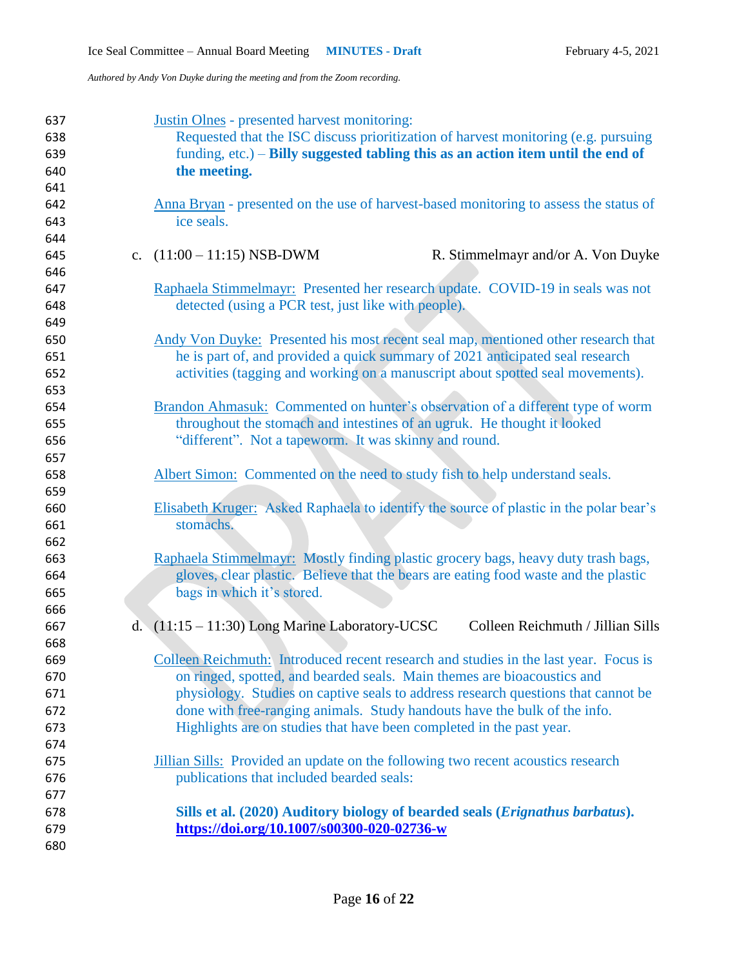| 637<br>638<br>639<br>640<br>641 | Justin Olnes - presented harvest monitoring:<br>Requested that the ISC discuss prioritization of harvest monitoring (e.g. pursuing<br>funding, $etc.$ ) – Billy suggested tabling this as an action item until the end of<br>the meeting. |
|---------------------------------|-------------------------------------------------------------------------------------------------------------------------------------------------------------------------------------------------------------------------------------------|
| 642<br>643<br>644               | Anna Bryan - presented on the use of harvest-based monitoring to assess the status of<br>ice seals.                                                                                                                                       |
| 645                             | c. $(11:00 - 11:15)$ NSB-DWM<br>R. Stimmelmayr and/or A. Von Duyke                                                                                                                                                                        |
| 646                             |                                                                                                                                                                                                                                           |
| 647                             | Raphaela Stimmelmayr: Presented her research update. COVID-19 in seals was not                                                                                                                                                            |
| 648                             | detected (using a PCR test, just like with people).                                                                                                                                                                                       |
| 649                             |                                                                                                                                                                                                                                           |
| 650<br>651                      | Andy Von Duyke: Presented his most recent seal map, mentioned other research that<br>he is part of, and provided a quick summary of 2021 anticipated seal research                                                                        |
| 652                             | activities (tagging and working on a manuscript about spotted seal movements).                                                                                                                                                            |
| 653                             |                                                                                                                                                                                                                                           |
| 654                             | Brandon Ahmasuk: Commented on hunter's observation of a different type of worm                                                                                                                                                            |
| 655                             | throughout the stomach and intestines of an ugruk. He thought it looked                                                                                                                                                                   |
| 656                             | "different". Not a tapeworm. It was skinny and round.                                                                                                                                                                                     |
| 657                             |                                                                                                                                                                                                                                           |
| 658                             | Albert Simon: Commented on the need to study fish to help understand seals.                                                                                                                                                               |
| 659                             |                                                                                                                                                                                                                                           |
| 660                             | Elisabeth Kruger: Asked Raphaela to identify the source of plastic in the polar bear's                                                                                                                                                    |
| 661                             | stomachs.                                                                                                                                                                                                                                 |
| 662                             |                                                                                                                                                                                                                                           |
| 663                             | Raphaela Stimmelmayr: Mostly finding plastic grocery bags, heavy duty trash bags,                                                                                                                                                         |
| 664                             | gloves, clear plastic. Believe that the bears are eating food waste and the plastic                                                                                                                                                       |
| 665                             | bags in which it's stored.                                                                                                                                                                                                                |
| 666                             | Colleen Reichmuth / Jillian Sills                                                                                                                                                                                                         |
| 667<br>668                      | d. (11:15 - 11:30) Long Marine Laboratory-UCSC                                                                                                                                                                                            |
| 669                             | Colleen Reichmuth: Introduced recent research and studies in the last year. Focus is                                                                                                                                                      |
| 670                             | on ringed, spotted, and bearded seals. Main themes are bioacoustics and                                                                                                                                                                   |
| 671                             | physiology. Studies on captive seals to address research questions that cannot be                                                                                                                                                         |
| 672                             | done with free-ranging animals. Study handouts have the bulk of the info.                                                                                                                                                                 |
| 673                             | Highlights are on studies that have been completed in the past year.                                                                                                                                                                      |
| 674                             |                                                                                                                                                                                                                                           |
| 675                             | Jillian Sills: Provided an update on the following two recent acoustics research                                                                                                                                                          |
| 676                             | publications that included bearded seals:                                                                                                                                                                                                 |
| 677                             |                                                                                                                                                                                                                                           |
| 678                             |                                                                                                                                                                                                                                           |
| 679                             | Sills et al. (2020) Auditory biology of bearded seals ( <i>Erignathus barbatus</i> ).<br>https://doi.org/10.1007/s00300-020-02736-w                                                                                                       |
| 680                             |                                                                                                                                                                                                                                           |
|                                 |                                                                                                                                                                                                                                           |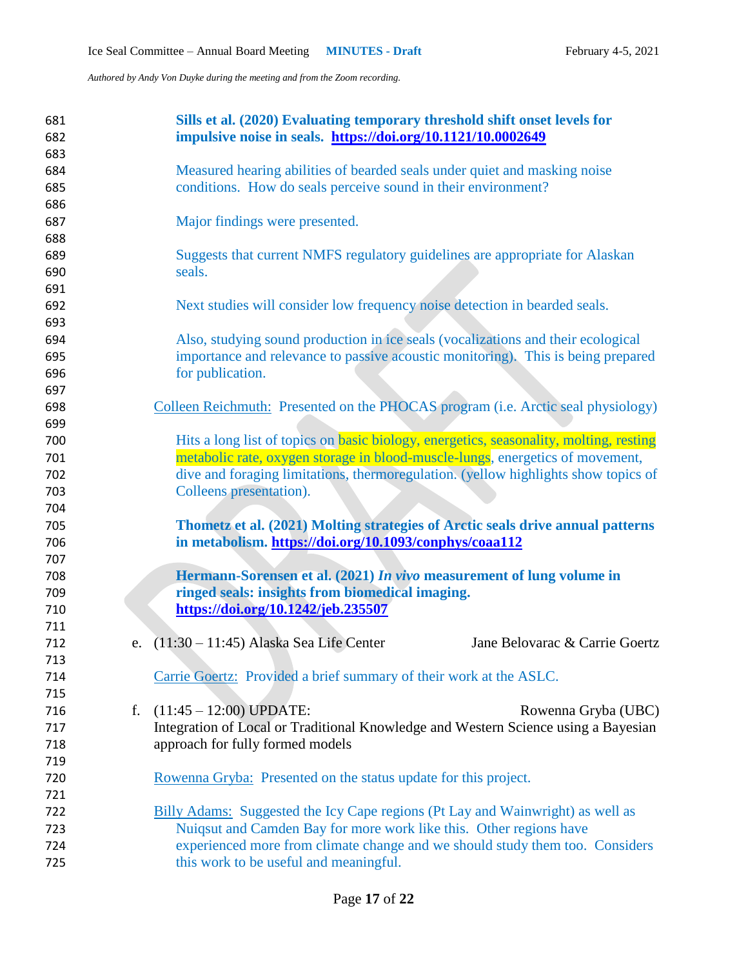| 681<br>682<br>683 |    | Sills et al. (2020) Evaluating temporary threshold shift onset levels for<br>impulsive noise in seals. https://doi.org/10.1121/10.0002649  |
|-------------------|----|--------------------------------------------------------------------------------------------------------------------------------------------|
| 684<br>685        |    | Measured hearing abilities of bearded seals under quiet and masking noise<br>conditions. How do seals perceive sound in their environment? |
| 686<br>687        |    | Major findings were presented.                                                                                                             |
| 688<br>689        |    | Suggests that current NMFS regulatory guidelines are appropriate for Alaskan                                                               |
| 690               |    | seals.                                                                                                                                     |
| 691<br>692        |    | Next studies will consider low frequency noise detection in bearded seals.                                                                 |
| 693<br>694        |    | Also, studying sound production in ice seals (vocalizations and their ecological                                                           |
| 695               |    | importance and relevance to passive acoustic monitoring). This is being prepared                                                           |
| 696               |    | for publication.                                                                                                                           |
| 697<br>698        |    | Colleen Reichmuth: Presented on the PHOCAS program (i.e. Arctic seal physiology)                                                           |
| 699               |    |                                                                                                                                            |
| 700               |    | Hits a long list of topics on <b>basic biology</b> , energetics, seasonality, molting, resting                                             |
| 701               |    | metabolic rate, oxygen storage in blood-muscle-lungs, energetics of movement,                                                              |
| 702               |    | dive and foraging limitations, thermoregulation. (yellow highlights show topics of                                                         |
| 703               |    | Colleens presentation).                                                                                                                    |
| 704               |    |                                                                                                                                            |
| 705               |    | Thometz et al. (2021) Molting strategies of Arctic seals drive annual patterns                                                             |
| 706               |    | in metabolism. https://doi.org/10.1093/conphys/coaa112                                                                                     |
| 707               |    |                                                                                                                                            |
| 708               |    | Hermann-Sorensen et al. (2021) In vivo measurement of lung volume in                                                                       |
| 709               |    | ringed seals: insights from biomedical imaging.                                                                                            |
| 710<br>711        |    | https://doi.org/10.1242/jeb.235507                                                                                                         |
| 712               |    | e. $(11:30 - 11:45)$ Alaska Sea Life Center<br>Jane Belovarac & Carrie Goertz                                                              |
| 713               |    |                                                                                                                                            |
| 714               |    | Carrie Goertz: Provided a brief summary of their work at the ASLC.                                                                         |
| 715               |    |                                                                                                                                            |
| 716               | f. | $(11:45 - 12:00)$ UPDATE:<br>Rowenna Gryba (UBC)                                                                                           |
| 717               |    | Integration of Local or Traditional Knowledge and Western Science using a Bayesian                                                         |
| 718               |    | approach for fully formed models                                                                                                           |
| 719               |    |                                                                                                                                            |
| 720               |    | Rowenna Gryba: Presented on the status update for this project.                                                                            |
| 721               |    |                                                                                                                                            |
| 722               |    | <b>Billy Adams:</b> Suggested the Icy Cape regions (Pt Lay and Wainwright) as well as                                                      |
| 723               |    | Nuiqsut and Camden Bay for more work like this. Other regions have                                                                         |
| 724               |    | experienced more from climate change and we should study them too. Considers                                                               |
| 725               |    | this work to be useful and meaningful.                                                                                                     |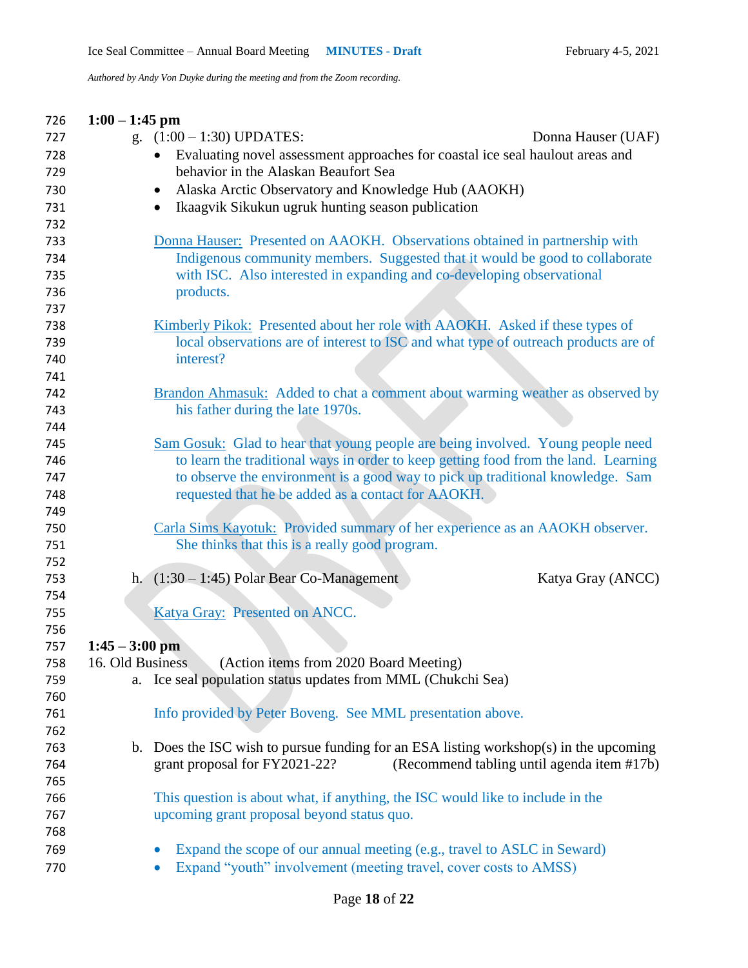| 726        | $1:00 - 1:45$ pm                                                                      |
|------------|---------------------------------------------------------------------------------------|
| 727        | g. $(1:00 - 1:30)$ UPDATES:<br>Donna Hauser (UAF)                                     |
| 728        | Evaluating novel assessment approaches for coastal ice seal haulout areas and         |
| 729        | behavior in the Alaskan Beaufort Sea                                                  |
| 730        | Alaska Arctic Observatory and Knowledge Hub (AAOKH)                                   |
| 731        | Ikaagvik Sikukun ugruk hunting season publication                                     |
| 732        |                                                                                       |
| 733        | Donna Hauser: Presented on AAOKH. Observations obtained in partnership with           |
| 734        | Indigenous community members. Suggested that it would be good to collaborate          |
| 735        | with ISC. Also interested in expanding and co-developing observational                |
| 736        | products.                                                                             |
| 737        |                                                                                       |
| 738        | Kimberly Pikok: Presented about her role with AAOKH. Asked if these types of          |
| 739        | local observations are of interest to ISC and what type of outreach products are of   |
| 740        | interest?                                                                             |
| 741        |                                                                                       |
| 742        | Brandon Ahmasuk: Added to chat a comment about warming weather as observed by         |
| 743        | his father during the late 1970s.                                                     |
| 744        |                                                                                       |
| 745        | Sam Gosuk: Glad to hear that young people are being involved. Young people need       |
| 746        | to learn the traditional ways in order to keep getting food from the land. Learning   |
| 747        | to observe the environment is a good way to pick up traditional knowledge. Sam        |
| 748        | requested that he be added as a contact for AAOKH.                                    |
| 749        |                                                                                       |
| 750        | Carla Sims Kayotuk: Provided summary of her experience as an AAOKH observer.          |
| 751        | She thinks that this is a really good program.                                        |
| 752        |                                                                                       |
| 753        | h. $(1:30 - 1:45)$ Polar Bear Co-Management<br>Katya Gray (ANCC)                      |
| 754        |                                                                                       |
| 755        | Katya Gray: Presented on ANCC.                                                        |
| 756        |                                                                                       |
| 757        | $1:45 - 3:00$ pm                                                                      |
| 758        | 16. Old Business<br>(Action items from 2020 Board Meeting)                            |
| 759        | a. Ice seal population status updates from MML (Chukchi Sea)                          |
| 760        |                                                                                       |
| 761        | Info provided by Peter Boveng. See MML presentation above.                            |
| 762<br>763 | b. Does the ISC wish to pursue funding for an ESA listing workshop(s) in the upcoming |
| 764        | grant proposal for FY2021-22?<br>(Recommend tabling until agenda item #17b)           |
| 765        |                                                                                       |
| 766        | This question is about what, if anything, the ISC would like to include in the        |
| 767        | upcoming grant proposal beyond status quo.                                            |
| 768        |                                                                                       |
| 769        | Expand the scope of our annual meeting (e.g., travel to ASLC in Seward)               |
|            |                                                                                       |
| 770        | Expand "youth" involvement (meeting travel, cover costs to AMSS)                      |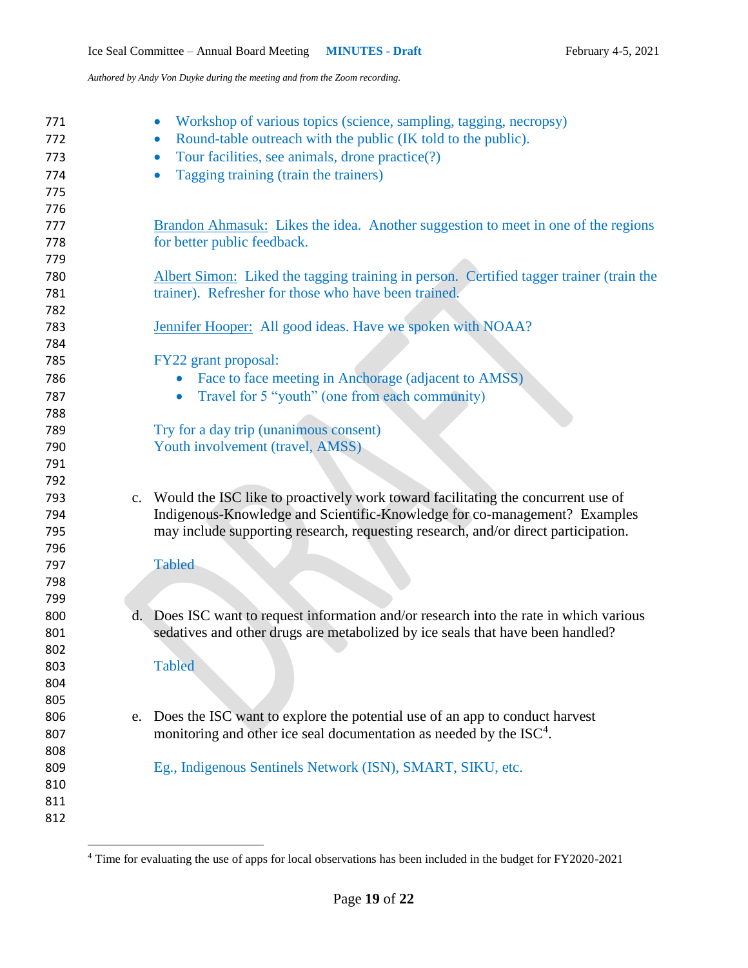| 771<br>772<br>773<br>774<br>775 |    | Workshop of various topics (science, sampling, tagging, necropsy)<br>Round-table outreach with the public (IK told to the public).<br>$\bullet$<br>Tour facilities, see animals, drone practice(?)<br>$\bullet$<br>Tagging training (train the trainers) |
|---------------------------------|----|----------------------------------------------------------------------------------------------------------------------------------------------------------------------------------------------------------------------------------------------------------|
| 776<br>777<br>778               |    | <b>Brandon Ahmasuk:</b> Likes the idea. Another suggestion to meet in one of the regions<br>for better public feedback.                                                                                                                                  |
| 779<br>780<br>781<br>782        |    | Albert Simon: Liked the tagging training in person. Certified tagger trainer (train the<br>trainer). Refresher for those who have been trained.                                                                                                          |
| 783<br>784                      |    | <b>Jennifer Hooper:</b> All good ideas. Have we spoken with NOAA?                                                                                                                                                                                        |
| 785                             |    | FY22 grant proposal:                                                                                                                                                                                                                                     |
| 786                             |    | Face to face meeting in Anchorage (adjacent to AMSS)<br>$\bullet$                                                                                                                                                                                        |
| 787                             |    | Travel for 5 "youth" (one from each community)<br>$\bullet$                                                                                                                                                                                              |
| 788                             |    |                                                                                                                                                                                                                                                          |
| 789                             |    | Try for a day trip (unanimous consent)                                                                                                                                                                                                                   |
| 790                             |    | Youth involvement (travel, AMSS)                                                                                                                                                                                                                         |
| 791                             |    |                                                                                                                                                                                                                                                          |
| 792                             |    |                                                                                                                                                                                                                                                          |
| 793                             |    | c. Would the ISC like to proactively work toward facilitating the concurrent use of                                                                                                                                                                      |
| 794                             |    | Indigenous-Knowledge and Scientific-Knowledge for co-management? Examples                                                                                                                                                                                |
| 795                             |    | may include supporting research, requesting research, and/or direct participation.                                                                                                                                                                       |
| 796                             |    |                                                                                                                                                                                                                                                          |
| 797                             |    | <b>Tabled</b>                                                                                                                                                                                                                                            |
| 798                             |    |                                                                                                                                                                                                                                                          |
| 799                             |    |                                                                                                                                                                                                                                                          |
| 800                             |    | d. Does ISC want to request information and/or research into the rate in which various                                                                                                                                                                   |
| 801                             |    | sedatives and other drugs are metabolized by ice seals that have been handled?                                                                                                                                                                           |
| 802                             |    |                                                                                                                                                                                                                                                          |
| 803                             |    | <b>Tabled</b>                                                                                                                                                                                                                                            |
| 804                             |    |                                                                                                                                                                                                                                                          |
| 805                             |    |                                                                                                                                                                                                                                                          |
| 806                             | e. | Does the ISC want to explore the potential use of an app to conduct harvest                                                                                                                                                                              |
| 807                             |    | monitoring and other ice seal documentation as needed by the ISC <sup>4</sup> .                                                                                                                                                                          |
| 808                             |    |                                                                                                                                                                                                                                                          |
| 809                             |    | Eg., Indigenous Sentinels Network (ISN), SMART, SIKU, etc.                                                                                                                                                                                               |
| 810                             |    |                                                                                                                                                                                                                                                          |
| 811                             |    |                                                                                                                                                                                                                                                          |
| 812                             |    |                                                                                                                                                                                                                                                          |
|                                 |    |                                                                                                                                                                                                                                                          |

<sup>&</sup>lt;sup>4</sup> Time for evaluating the use of apps for local observations has been included in the budget for FY2020-2021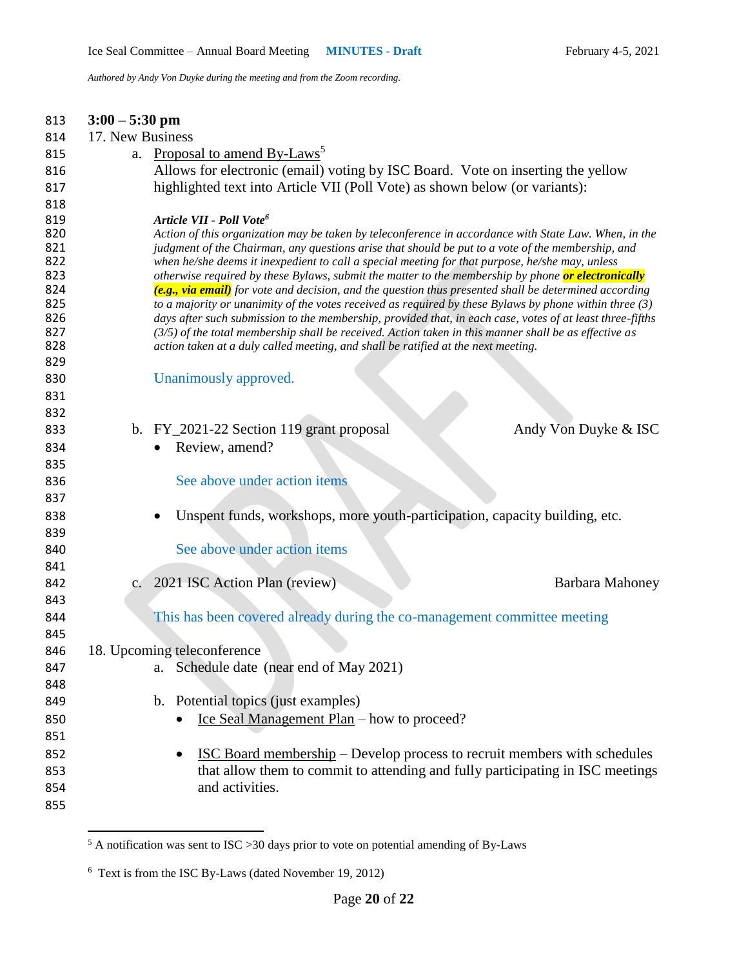| 813        | $3:00 - 5:30$ pm |                                                                                                                                                                                                                       |                      |
|------------|------------------|-----------------------------------------------------------------------------------------------------------------------------------------------------------------------------------------------------------------------|----------------------|
| 814        | 17. New Business |                                                                                                                                                                                                                       |                      |
| 815        | a.               | Proposal to amend By-Laws <sup>5</sup>                                                                                                                                                                                |                      |
| 816        |                  | Allows for electronic (email) voting by ISC Board. Vote on inserting the yellow                                                                                                                                       |                      |
| 817        |                  | highlighted text into Article VII (Poll Vote) as shown below (or variants):                                                                                                                                           |                      |
| 818        |                  |                                                                                                                                                                                                                       |                      |
| 819        |                  | Article VII - Poll Vote <sup>6</sup>                                                                                                                                                                                  |                      |
| 820<br>821 |                  | Action of this organization may be taken by teleconference in accordance with State Law. When, in the<br>judgment of the Chairman, any questions arise that should be put to a vote of the membership, and            |                      |
| 822        |                  | when he/she deems it inexpedient to call a special meeting for that purpose, he/she may, unless                                                                                                                       |                      |
| 823        |                  | otherwise required by these Bylaws, submit the matter to the membership by phone or electronically                                                                                                                    |                      |
| 824        |                  | (e.g., via email) for vote and decision, and the question thus presented shall be determined according                                                                                                                |                      |
| 825<br>826 |                  | to a majority or unanimity of the votes received as required by these Bylaws by phone within three $(3)$<br>days after such submission to the membership, provided that, in each case, votes of at least three-fifths |                      |
| 827        |                  | $(3/5)$ of the total membership shall be received. Action taken in this manner shall be as effective as                                                                                                               |                      |
| 828        |                  | action taken at a duly called meeting, and shall be ratified at the next meeting.                                                                                                                                     |                      |
| 829        |                  |                                                                                                                                                                                                                       |                      |
| 830        |                  | Unanimously approved.                                                                                                                                                                                                 |                      |
| 831        |                  |                                                                                                                                                                                                                       |                      |
| 832        |                  |                                                                                                                                                                                                                       |                      |
| 833        |                  | b. FY_2021-22 Section 119 grant proposal                                                                                                                                                                              | Andy Von Duyke & ISC |
| 834        |                  | Review, amend?                                                                                                                                                                                                        |                      |
| 835        |                  |                                                                                                                                                                                                                       |                      |
| 836        |                  | See above under action items                                                                                                                                                                                          |                      |
| 837        |                  |                                                                                                                                                                                                                       |                      |
| 838        |                  | Unspent funds, workshops, more youth-participation, capacity building, etc.                                                                                                                                           |                      |
| 839        |                  |                                                                                                                                                                                                                       |                      |
| 840        |                  | See above under action items                                                                                                                                                                                          |                      |
| 841        |                  |                                                                                                                                                                                                                       |                      |
| 842        |                  | c. 2021 ISC Action Plan (review)                                                                                                                                                                                      | Barbara Mahoney      |
| 843        |                  |                                                                                                                                                                                                                       |                      |
| 844        |                  | This has been covered already during the co-management committee meeting                                                                                                                                              |                      |
| 845        |                  |                                                                                                                                                                                                                       |                      |
| 846<br>847 |                  | 18. Upcoming teleconference<br>Schedule date (near end of May 2021)                                                                                                                                                   |                      |
| 848        |                  | a.                                                                                                                                                                                                                    |                      |
| 849        |                  | b. Potential topics (just examples)                                                                                                                                                                                   |                      |
| 850        |                  | Ice Seal Management Plan – how to proceed?                                                                                                                                                                            |                      |
| 851        |                  |                                                                                                                                                                                                                       |                      |
| 852        |                  | <b>ISC Board membership</b> – Develop process to recruit members with schedules                                                                                                                                       |                      |
| 853        |                  | that allow them to commit to attending and fully participating in ISC meetings                                                                                                                                        |                      |
| 854        |                  | and activities.                                                                                                                                                                                                       |                      |
| 855        |                  |                                                                                                                                                                                                                       |                      |
|            |                  |                                                                                                                                                                                                                       |                      |
|            |                  |                                                                                                                                                                                                                       |                      |

A notification was sent to ISC > 30 days prior to vote on potential amending of By-Laws

Text is from the ISC By-Laws (dated November 19, 2012)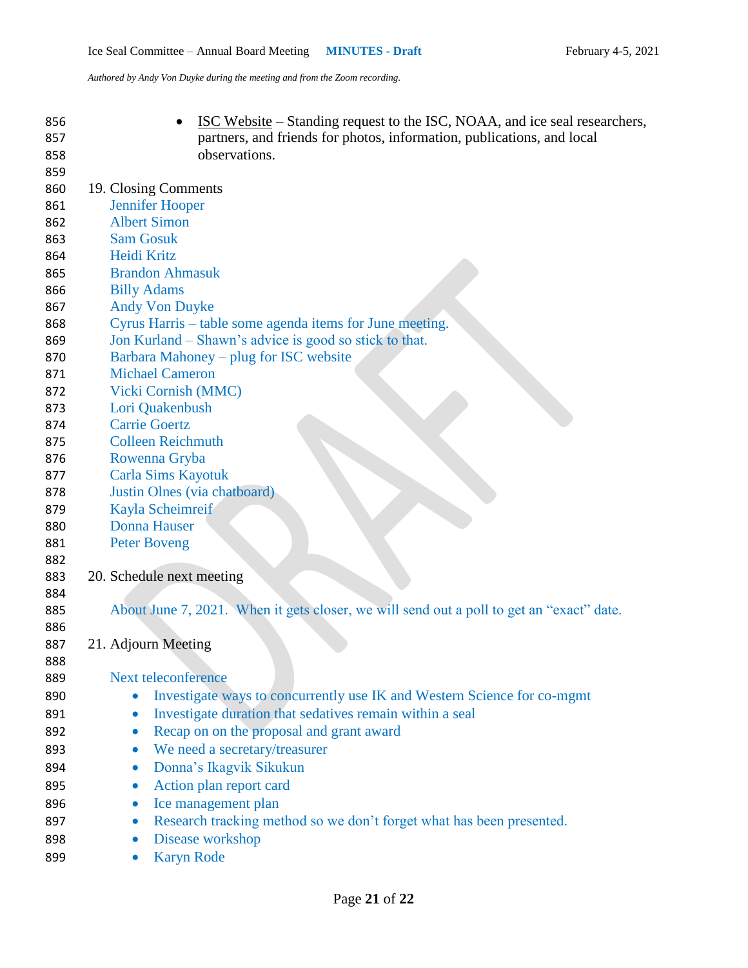**ISC Website – Standing request to the ISC, NOAA, and ice seal researchers,**  partners, and friends for photos, information, publications, and local observations. 19. Closing Comments Jennifer Hooper Albert Simon Sam Gosuk Heidi Kritz Brandon Ahmasuk Billy Adams Andy Von Duyke Cyrus Harris – table some agenda items for June meeting. Jon Kurland – Shawn's advice is good so stick to that. Barbara Mahoney – plug for ISC website Michael Cameron Vicki Cornish (MMC) Lori Quakenbush Carrie Goertz Colleen Reichmuth Rowenna Gryba Carla Sims Kayotuk Justin Olnes (via chatboard) Kayla Scheimreif Donna Hauser Peter Boveng 20. Schedule next meeting About June 7, 2021. When it gets closer, we will send out a poll to get an "exact" date. 21. Adjourn Meeting Next teleconference **Investigate ways to concurrently use IK and Western Science for co-mgmt** 891 • Investigate duration that sedatives remain within a seal 892 • Recap on on the proposal and grant award 893 • We need a secretary/treasurer 894 • Donna's Ikagvik Sikukun 895 • Action plan report card **I**ce management plan 897 execute Research tracking method so we don't forget what has been presented. 898 • Disease workshop 899 • Karyn Rode